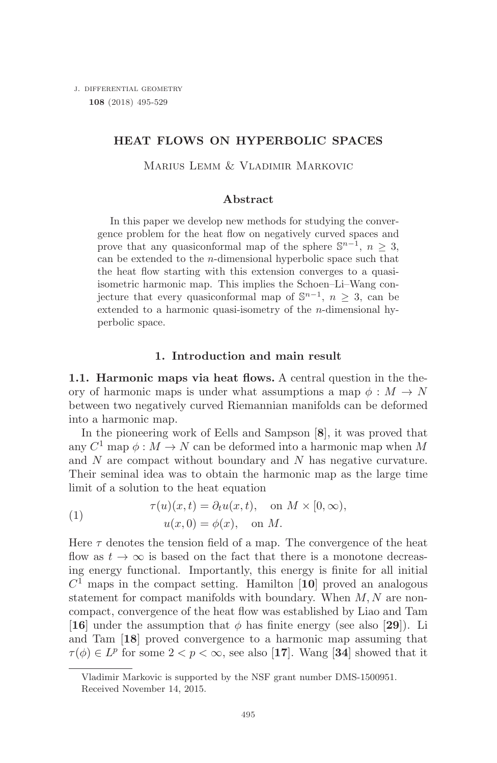j. differential geometry **108** (2018) 495-<sup>529</sup>

# **HEAT FLOWS ON HYPERBOLIC SPACES**

MARIUS LEMM & VLADIMIR MARKOVIC

# **Abstract**

In this paper we develop new methods for studying the convergence problem for the heat flow on negatively curved spaces and prove that any quasiconformal map of the sphere  $\mathbb{S}^{n-1}$ ,  $n > 3$ , can be extended to the  $n$ -dimensional hyperbolic space such that the heat flow starting with this extension converges to a quasiisometric harmonic map. This implies the Schoen–Li–Wang conjecture that every quasiconformal map of  $\mathbb{S}^{n-1}$ ,  $n \geq 3$ , can be extended to a harmonic quasi-isometry of the n-dimensional hyperbolic space.

# **1. Introduction and main result**

**1.1. Harmonic maps via heat flows.** A central question in the theory of harmonic maps is under what assumptions a map  $\phi : M \to N$ between two negatively curved Riemannian manifolds can be deformed into a harmonic map.

In the pioneering work of Eells and Sampson [**8**], it was proved that any  $C^1$  map  $\phi : M \to N$  can be deformed into a harmonic map when M and  $N$  are compact without boundary and  $N$  has negative curvature. Their seminal idea was to obtain the harmonic map as the large time limit of a solution to the heat equation

(1) 
$$
\tau(u)(x,t) = \partial_t u(x,t), \text{ on } M \times [0,\infty),
$$

$$
u(x,0) = \phi(x), \text{ on } M.
$$

Here  $\tau$  denotes the tension field of a map. The convergence of the heat flow as  $t \to \infty$  is based on the fact that there is a monotone decreasing energy functional. Importantly, this energy is finite for all initial  $C<sup>1</sup>$  maps in the compact setting. Hamilton [10] proved an analogous statement for compact manifolds with boundary. When  $M, N$  are noncompact, convergence of the heat flow was established by Liao and Tam [**16**] under the assumption that  $\phi$  has finite energy (see also [29]). Li and Tam [**18**] proved convergence to a harmonic map assuming that  $\tau(\phi) \in L^p$  for some  $2 < p < \infty$ , see also [17]. Wang [34] showed that it

Vladimir Markovic is supported by the NSF grant number DMS-1500951. Received November 14, 2015.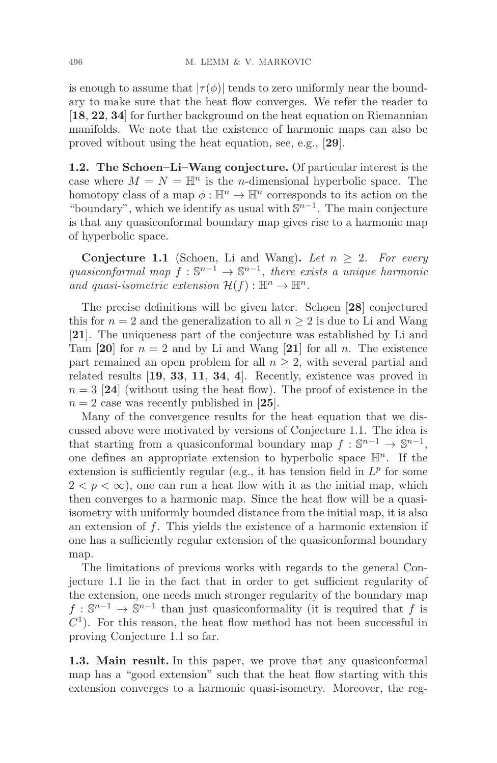is enough to assume that  $|\tau(\phi)|$  tends to zero uniformly near the boundary to make sure that the heat flow converges. We refer the reader to [**18**, **22**, **34**] for further background on the heat equation on Riemannian manifolds. We note that the existence of harmonic maps can also be proved without using the heat equation, see, e.g., [**29**].

**1.2. The Schoen–Li–Wang conjecture.** Of particular interest is the case where  $M = N = \mathbb{H}^n$  is the *n*-dimensional hyperbolic space. The homotopy class of a map  $\phi : \mathbb{H}^n \to \mathbb{H}^n$  corresponds to its action on the "boundary", which we identify as usual with  $\mathbb{S}^{n-1}$ . The main conjecture is that any quasiconformal boundary map gives rise to a harmonic map of hyperbolic space.

**Conjecture 1.1** (Schoen, Li and Wang). Let  $n \geq 2$ . For every quasiconformal map  $f : \mathbb{S}^{n-1} \to \mathbb{S}^{n-1}$ , there exists a unique harmonic and quasi-isometric extension  $\mathcal{H}(f) : \mathbb{H}^n \to \mathbb{H}^n$ .

The precise definitions will be given later. Schoen [**28**] conjectured this for  $n = 2$  and the generalization to all  $n \geq 2$  is due to Li and Wang [**21**]. The uniqueness part of the conjecture was established by Li and Tam [20] for  $n = 2$  and by Li and Wang [21] for all n. The existence part remained an open problem for all  $n \geq 2$ , with several partial and related results [**19**, **33**, **11**, **34**, **4**]. Recently, existence was proved in  $n = 3$  [24] (without using the heat flow). The proof of existence in the  $n = 2$  case was recently published in [25].

Many of the convergence results for the heat equation that we discussed above were motivated by versions of Conjecture 1.1. The idea is that starting from a quasiconformal boundary map  $f : \mathbb{S}^{n-1} \to \mathbb{S}^{n-1}$ , one defines an appropriate extension to hyperbolic space  $\mathbb{H}^n$ . If the extension is sufficiently regular (e.g., it has tension field in  $L^p$  for some  $2 < p < \infty$ , one can run a heat flow with it as the initial map, which then converges to a harmonic map. Since the heat flow will be a quasiisometry with uniformly bounded distance from the initial map, it is also an extension of  $f$ . This yields the existence of a harmonic extension if one has a sufficiently regular extension of the quasiconformal boundary map.

The limitations of previous works with regards to the general Conjecture 1.1 lie in the fact that in order to get sufficient regularity of the extension, one needs much stronger regularity of the boundary map  $f: \mathbb{S}^{n-1} \to \mathbb{S}^{n-1}$  than just quasiconformality (it is required that f is  $C<sup>1</sup>$ ). For this reason, the heat flow method has not been successful in proving Conjecture 1.1 so far.

**1.3. Main result.** In this paper, we prove that any quasiconformal map has a "good extension" such that the heat flow starting with this extension converges to a harmonic quasi-isometry. Moreover, the reg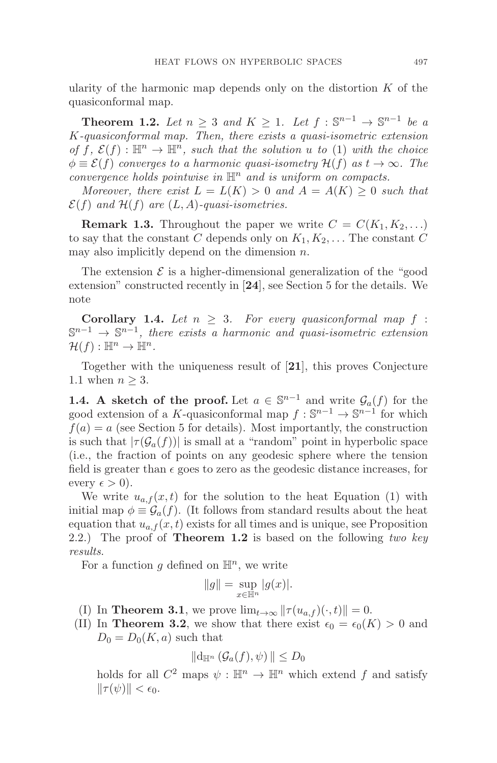ularity of the harmonic map depends only on the distortion  $K$  of the quasiconformal map.

**Theorem 1.2.** Let  $n \geq 3$  and  $K \geq 1$ . Let  $f : \mathbb{S}^{n-1} \to \mathbb{S}^{n-1}$  be a K-quasiconformal map. Then, there exists a quasi-isometric extension of f,  $\mathcal{E}(f) : \mathbb{H}^n \to \mathbb{H}^n$ , such that the solution u to (1) with the choice  $\phi \equiv \mathcal{E}(f)$  converges to a harmonic quasi-isometry  $\mathcal{H}(f)$  as  $t \to \infty$ . The convergence holds pointwise in  $\mathbb{H}^n$  and is uniform on compacts.

Moreover, there exist  $L = L(K) > 0$  and  $A = A(K) \geq 0$  such that  $\mathcal{E}(f)$  and  $\mathcal{H}(f)$  are  $(L, A)$ -quasi-isometries.

**Remark 1.3.** Throughout the paper we write  $C = C(K_1, K_2, \ldots)$ to say that the constant C depends only on  $K_1, K_2, \ldots$  The constant C may also implicitly depend on the dimension  $n$ .

The extension  $\mathcal E$  is a higher-dimensional generalization of the "good" extension" constructed recently in [**24**], see Section 5 for the details. We note

**Corollary 1.4.** Let  $n \geq 3$ . For every quasiconformal map f:  $\mathbb{S}^{n-1} \to \mathbb{S}^{n-1}$ , there exists a harmonic and quasi-isometric extension  $\mathcal{H}(f): \mathbb{H}^n \to \mathbb{H}^n$ .

Together with the uniqueness result of [**21**], this proves Conjecture 1.1 when  $n \geq 3$ .

**1.4.** A sketch of the proof. Let  $a \in \mathbb{S}^{n-1}$  and write  $\mathcal{G}_a(f)$  for the good extension of a K-quasiconformal map  $f : \mathbb{S}^{n-1} \to \mathbb{S}^{n-1}$  for which  $f(a) = a$  (see Section 5 for details). Most importantly, the construction is such that  $|\tau(\mathcal{G}_a(f))|$  is small at a "random" point in hyperbolic space (i.e., the fraction of points on any geodesic sphere where the tension field is greater than  $\epsilon$  goes to zero as the geodesic distance increases, for every  $\epsilon > 0$ ).

We write  $u_{a,f}(x,t)$  for the solution to the heat Equation (1) with initial map  $\phi \equiv \mathcal{G}_a(f)$ . (It follows from standard results about the heat equation that  $u_{a,f}(x,t)$  exists for all times and is unique, see Proposition 2.2.) The proof of **Theorem 1.2** is based on the following two key results.

For a function g defined on  $\mathbb{H}^n$ , we write

$$
||g|| = \sup_{x \in \mathbb{H}^n} |g(x)|.
$$

- (I) In **Theorem 3.1**, we prove  $\lim_{t\to\infty} ||\tau(u_{a,f})(\cdot,t)|| = 0.$
- (II) In **Theorem 3.2**, we show that there exist  $\epsilon_0 = \epsilon_0(K) > 0$  and  $D_0 = D_0(K, a)$  such that

$$
\|\mathrm{d}_{\mathbb{H}^n}\left(\mathcal{G}_a(f),\psi\right)\|\leq D_0
$$

holds for all  $C^2$  maps  $\psi : \mathbb{H}^n \to \mathbb{H}^n$  which extend f and satisfy  $\|\tau(\psi)\| < \epsilon_0.$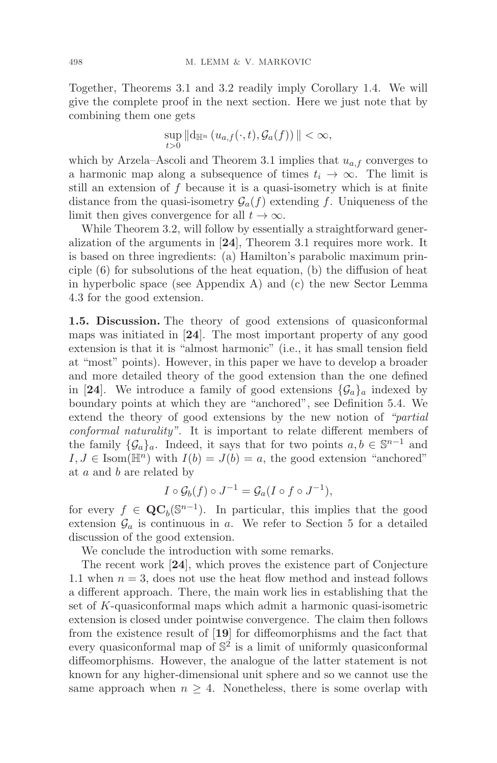Together, Theorems 3.1 and 3.2 readily imply Corollary 1.4. We will give the complete proof in the next section. Here we just note that by combining them one gets

$$
\sup_{t>0} ||d_{\mathbb{H}^n} (u_{a,f}(\cdot,t),\mathcal{G}_a(f))|| < \infty,
$$

which by Arzela–Ascoli and Theorem 3.1 implies that  $u_{a,f}$  converges to a harmonic map along a subsequence of times  $t_i \rightarrow \infty$ . The limit is still an extension of  $f$  because it is a quasi-isometry which is at finite distance from the quasi-isometry  $\mathcal{G}_a(f)$  extending f. Uniqueness of the limit then gives convergence for all  $t \to \infty$ .

While Theorem 3.2, will follow by essentially a straightforward generalization of the arguments in [**24**], Theorem 3.1 requires more work. It is based on three ingredients: (a) Hamilton's parabolic maximum principle (6) for subsolutions of the heat equation, (b) the diffusion of heat in hyperbolic space (see Appendix A) and (c) the new Sector Lemma 4.3 for the good extension.

**1.5. Discussion.** The theory of good extensions of quasiconformal maps was initiated in [**24**]. The most important property of any good extension is that it is "almost harmonic" (i.e., it has small tension field at "most" points). However, in this paper we have to develop a broader and more detailed theory of the good extension than the one defined in [24]. We introduce a family of good extensions  $\{\mathcal{G}_a\}_a$  indexed by boundary points at which they are "anchored", see Definition 5.4. We extend the theory of good extensions by the new notion of "partial conformal naturality". It is important to relate different members of the family  $\{\mathcal{G}_a\}_a$ . Indeed, it says that for two points  $a, b \in \mathbb{S}^{n-1}$  and  $I, J \in \text{Isom}(\mathbb{H}^n)$  with  $I(b) = J(b) = a$ , the good extension "anchored" at a and b are related by

$$
I \circ \mathcal{G}_b(f) \circ J^{-1} = \mathcal{G}_a(I \circ f \circ J^{-1}),
$$

for every  $f \in \mathbf{QC}_b(\mathbb{S}^{n-1})$ . In particular, this implies that the good extension  $\mathcal{G}_a$  is continuous in a. We refer to Section 5 for a detailed discussion of the good extension.

We conclude the introduction with some remarks.

The recent work [**24**], which proves the existence part of Conjecture 1.1 when  $n = 3$ , does not use the heat flow method and instead follows a different approach. There, the main work lies in establishing that the set of K-quasiconformal maps which admit a harmonic quasi-isometric extension is closed under pointwise convergence. The claim then follows from the existence result of [**19**] for diffeomorphisms and the fact that every quasiconformal map of  $\mathbb{S}^2$  is a limit of uniformly quasiconformal diffeomorphisms. However, the analogue of the latter statement is not known for any higher-dimensional unit sphere and so we cannot use the same approach when  $n \geq 4$ . Nonetheless, there is some overlap with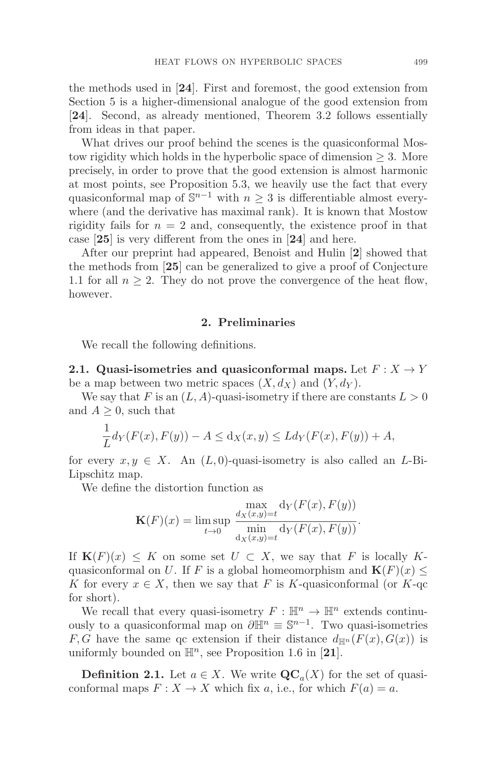the methods used in [**24**]. First and foremost, the good extension from Section 5 is a higher-dimensional analogue of the good extension from [**24**]. Second, as already mentioned, Theorem 3.2 follows essentially from ideas in that paper.

What drives our proof behind the scenes is the quasiconformal Mostow rigidity which holds in the hyperbolic space of dimension  $\geq 3$ . More precisely, in order to prove that the good extension is almost harmonic at most points, see Proposition 5.3, we heavily use the fact that every quasiconformal map of  $\mathbb{S}^{n-1}$  with  $n \geq 3$  is differentiable almost everywhere (and the derivative has maximal rank). It is known that Mostow rigidity fails for  $n = 2$  and, consequently, the existence proof in that case [**25**] is very different from the ones in [**24**] and here.

After our preprint had appeared, Benoist and Hulin [**2**] showed that the methods from [**25**] can be generalized to give a proof of Conjecture 1.1 for all  $n \geq 2$ . They do not prove the convergence of the heat flow, however.

### **2. Preliminaries**

We recall the following definitions.

**2.1. Quasi-isometries and quasiconformal maps.** Let  $F: X \rightarrow Y$ be a map between two metric spaces  $(X, d_X)$  and  $(Y, d_Y)$ .

We say that F is an  $(L, A)$ -quasi-isometry if there are constants  $L > 0$ and  $A \geq 0$ , such that

$$
\frac{1}{L}d_Y(F(x), F(y)) - A \le d_X(x, y) \le Ld_Y(F(x), F(y)) + A,
$$

for every  $x, y \in X$ . An  $(L, 0)$ -quasi-isometry is also called an L-Bi-Lipschitz map.

We define the distortion function as

$$
\mathbf{K}(F)(x) = \limsup_{t \to 0} \frac{\max_{d_X(x,y)=t} d_Y(F(x), F(y))}{\min_{d_X(x,y)=t} d_Y(F(x), F(y))}.
$$

If  $\mathbf{K}(F)(x) \leq K$  on some set  $U \subset X$ , we say that F is locally Kquasiconformal on U. If F is a global homeomorphism and  $\mathbf{K}(F)(x) \leq$ K for every  $x \in X$ , then we say that F is K-quasiconformal (or K-qc for short).

We recall that every quasi-isometry  $F : \mathbb{H}^n \to \mathbb{H}^n$  extends continuously to a quasiconformal map on  $\partial \mathbb{H}^n \equiv \mathbb{S}^{n-1}$ . Two quasi-isometries F, G have the same qc extension if their distance  $d_{\mathbb{H}^n}(F(x), G(x))$  is uniformly bounded on  $\mathbb{H}^n$ , see Proposition 1.6 in [21].

**Definition 2.1.** Let  $a \in X$ . We write  $\mathbf{QC}_a(X)$  for the set of quasiconformal maps  $F: X \to X$  which fix a, i.e., for which  $F(a) = a$ .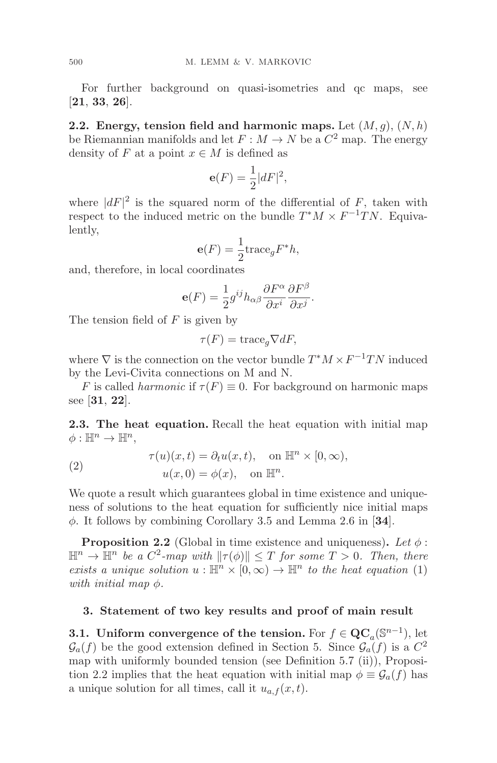For further background on quasi-isometries and qc maps, see [**21**, **33**, **26**].

**2.2. Energy, tension field and harmonic maps.** Let  $(M, g)$ ,  $(N, h)$ be Riemannian manifolds and let  $F : M \to N$  be a  $C^2$  map. The energy density of F at a point  $x \in M$  is defined as

$$
\mathbf{e}(F) = \frac{1}{2}|dF|^2,
$$

where  $|dF|^2$  is the squared norm of the differential of F, taken with respect to the induced metric on the bundle  $T^*M \times F^{-1}TN$ . Equivalently,

$$
\mathbf{e}(F) = \frac{1}{2} \text{trace}_g F^* h,
$$

and, therefore, in local coordinates

$$
\mathbf{e}(F) = \frac{1}{2}g^{ij}h_{\alpha\beta}\frac{\partial F^{\alpha}}{\partial x^{i}}\frac{\partial F^{\beta}}{\partial x^{j}}.
$$

The tension field of  $F$  is given by

$$
\tau(F) = \text{trace}_g \nabla dF,
$$

where  $\nabla$  is the connection on the vector bundle  $T^*M \times F^{-1}TN$  induced by the Levi-Civita connections on M and N.

F is called *harmonic* if  $\tau(F) \equiv 0$ . For background on harmonic maps see [**31**, **22**].

**2.3. The heat equation.** Recall the heat equation with initial map  $\phi: \mathbb{H}^n \to \mathbb{H}^n$ ,

(2) 
$$
\tau(u)(x,t) = \partial_t u(x,t), \text{ on } \mathbb{H}^n \times [0,\infty),
$$

$$
u(x,0) = \phi(x), \text{ on } \mathbb{H}^n.
$$

We quote a result which guarantees global in time existence and uniqueness of solutions to the heat equation for sufficiently nice initial maps φ. It follows by combining Corollary 3.5 and Lemma 2.6 in [**34**].

**Proposition 2.2** (Global in time existence and uniqueness). Let  $\phi$ :  $\mathbb{H}^n \to \mathbb{H}^n$  be a  $C^2$ -map with  $\|\tau(\phi)\| \leq T$  for some  $T > 0$ . Then, there exists a unique solution  $u : \mathbb{H}^n \times [0, \infty) \to \mathbb{H}^n$  to the heat equation (1) with initial map  $\phi$ .

### **3. Statement of two key results and proof of main result**

**3.1.** Uniform convergence of the tension. For  $f \in \mathbf{QC}_a(\mathbb{S}^{n-1})$ , let  $\mathcal{G}_a(f)$  be the good extension defined in Section 5. Since  $\mathcal{G}_a(f)$  is a  $C^2$ map with uniformly bounded tension (see Definition 5.7 (ii)), Proposition 2.2 implies that the heat equation with initial map  $\phi \equiv \mathcal{G}_a(f)$  has a unique solution for all times, call it  $u_{a,f}(x,t)$ .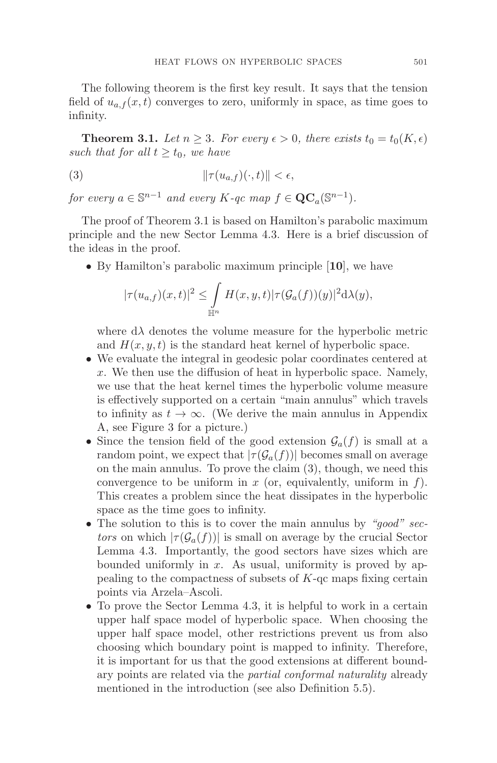The following theorem is the first key result. It says that the tension field of  $u_{a,f}(x,t)$  converges to zero, uniformly in space, as time goes to infinity.

**Theorem 3.1.** Let  $n \geq 3$ . For every  $\epsilon > 0$ , there exists  $t_0 = t_0(K, \epsilon)$ such that for all  $t \geq t_0$ , we have

(3) 
$$
\|\tau(u_{a,f})(\cdot,t)\| < \epsilon,
$$

for every  $a \in \mathbb{S}^{n-1}$  and every  $K$ -qc map  $f \in \mathbf{QC}_a(\mathbb{S}^{n-1})$ .

The proof of Theorem 3.1 is based on Hamilton's parabolic maximum principle and the new Sector Lemma 4.3. Here is a brief discussion of the ideas in the proof.

• By Hamilton's parabolic maximum principle [**10**], we have

$$
|\tau(u_{a,f})(x,t)|^2 \leq \int_{\mathbb{H}^n} H(x,y,t)|\tau(\mathcal{G}_a(f))(y)|^2 d\lambda(y),
$$

where  $d\lambda$  denotes the volume measure for the hyperbolic metric and  $H(x, y, t)$  is the standard heat kernel of hyperbolic space.

- We evaluate the integral in geodesic polar coordinates centered at x. We then use the diffusion of heat in hyperbolic space. Namely, we use that the heat kernel times the hyperbolic volume measure is effectively supported on a certain "main annulus" which travels to infinity as  $t \to \infty$ . (We derive the main annulus in Appendix A, see Figure 3 for a picture.)
- Since the tension field of the good extension  $\mathcal{G}_a(f)$  is small at a random point, we expect that  $|\tau(\mathcal{G}_a(f))|$  becomes small on average on the main annulus. To prove the claim (3), though, we need this convergence to be uniform in  $x$  (or, equivalently, uniform in  $f$ ). This creates a problem since the heat dissipates in the hyperbolic space as the time goes to infinity.
- The solution to this is to cover the main annulus by "good" sectors on which  $|\tau(\mathcal{G}_a(f))|$  is small on average by the crucial Sector Lemma 4.3. Importantly, the good sectors have sizes which are bounded uniformly in  $x$ . As usual, uniformity is proved by appealing to the compactness of subsets of K-qc maps fixing certain points via Arzela–Ascoli.
- To prove the Sector Lemma 4.3, it is helpful to work in a certain upper half space model of hyperbolic space. When choosing the upper half space model, other restrictions prevent us from also choosing which boundary point is mapped to infinity. Therefore, it is important for us that the good extensions at different boundary points are related via the partial conformal naturality already mentioned in the introduction (see also Definition 5.5).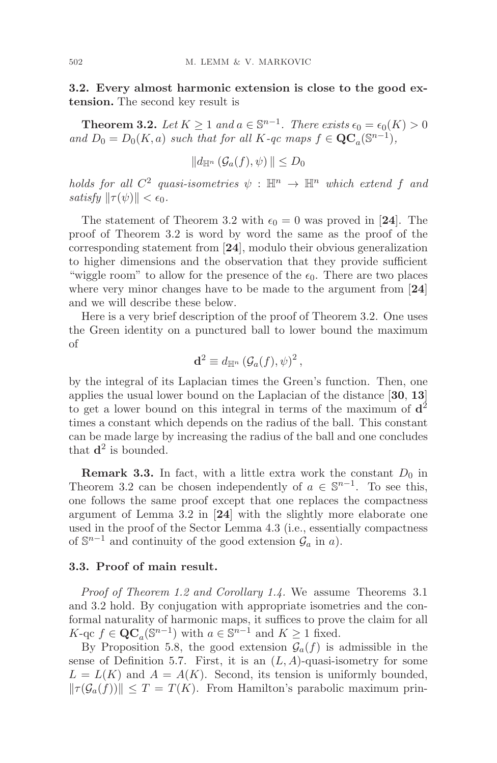**3.2. Every almost harmonic extension is close to the good extension.** The second key result is

**Theorem 3.2.** Let  $K \geq 1$  and  $a \in \mathbb{S}^{n-1}$ . There exists  $\epsilon_0 = \epsilon_0(K) > 0$ and  $D_0 = D_0(K, a)$  such that for all K-qc maps  $f \in \mathbf{QC}_a(S^{n-1}),$ 

$$
||d_{\mathbb{H}^n}(\mathcal{G}_a(f),\psi)|| \leq D_0
$$

holds for all  $C^2$  quasi-isometries  $\psi : \mathbb{H}^n \to \mathbb{H}^n$  which extend f and satisfy  $\|\tau(\psi)\| < \epsilon_0$ .

The statement of Theorem 3.2 with  $\epsilon_0 = 0$  was proved in [24]. The proof of Theorem 3.2 is word by word the same as the proof of the corresponding statement from [**24**], modulo their obvious generalization to higher dimensions and the observation that they provide sufficient "wiggle room" to allow for the presence of the  $\epsilon_0$ . There are two places where very minor changes have to be made to the argument from [**24**] and we will describe these below.

Here is a very brief description of the proof of Theorem 3.2. One uses the Green identity on a punctured ball to lower bound the maximum of

$$
\mathbf{d}^2 \equiv d_{\mathbb{H}^n} \left( \mathcal{G}_a(f), \psi \right)^2,
$$

by the integral of its Laplacian times the Green's function. Then, one applies the usual lower bound on the Laplacian of the distance [**30**, **13**] to get a lower bound on this integral in terms of the maximum of **d**<sup>2</sup> times a constant which depends on the radius of the ball. This constant can be made large by increasing the radius of the ball and one concludes that  $\mathbf{d}^2$  is bounded.

**Remark 3.3.** In fact, with a little extra work the constant  $D_0$  in Theorem 3.2 can be chosen independently of  $a \in \mathbb{S}^{n-1}$ . To see this, one follows the same proof except that one replaces the compactness argument of Lemma 3.2 in [**24**] with the slightly more elaborate one used in the proof of the Sector Lemma 4.3 (i.e., essentially compactness of  $\mathbb{S}^{n-1}$  and continuity of the good extension  $\mathcal{G}_a$  in a).

### **3.3. Proof of main result.**

Proof of Theorem 1.2 and Corollary 1.4. We assume Theorems 3.1 and 3.2 hold. By conjugation with appropriate isometries and the conformal naturality of harmonic maps, it suffices to prove the claim for all K-qc  $f \in \mathbf{QC}_a(\mathbb{S}^{n-1})$  with  $a \in \mathbb{S}^{n-1}$  and  $K \geq 1$  fixed.

By Proposition 5.8, the good extension  $\mathcal{G}_a(f)$  is admissible in the sense of Definition 5.7. First, it is an  $(L, A)$ -quasi-isometry for some  $L = L(K)$  and  $A = A(K)$ . Second, its tension is uniformly bounded,  $|| \tau(\mathcal{G}_a(f)) || \leq T = T(K)$ . From Hamilton's parabolic maximum prin-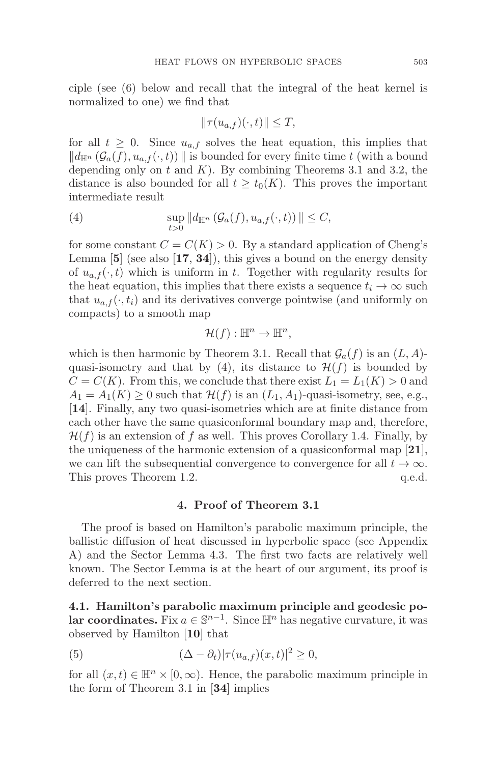ciple (see (6) below and recall that the integral of the heat kernel is normalized to one) we find that

$$
\|\tau(u_{a,f})(\cdot,t)\| \le T,
$$

for all  $t \geq 0$ . Since  $u_{a,f}$  solves the heat equation, this implies that  $\|d_{\mathbb{H}^n}(\mathcal{G}_a(f), u_{a,f}(\cdot, t))\|$  is bounded for every finite time t (with a bound depending only on  $t$  and  $K$ ). By combining Theorems 3.1 and 3.2, the distance is also bounded for all  $t \geq t_0(K)$ . This proves the important intermediate result

(4) 
$$
\sup_{t>0} ||d_{\mathbb{H}^n} (\mathcal{G}_a(f), u_{a,f}(\cdot, t))|| \leq C,
$$

for some constant  $C = C(K) > 0$ . By a standard application of Cheng's Lemma [**5**] (see also [**17**, **34**]), this gives a bound on the energy density of  $u_{a,f}(\cdot,t)$  which is uniform in t. Together with regularity results for the heat equation, this implies that there exists a sequence  $t_i \to \infty$  such that  $u_{a,f}(\cdot, t_i)$  and its derivatives converge pointwise (and uniformly on compacts) to a smooth map

$$
\mathcal{H}(f): \mathbb{H}^n \to \mathbb{H}^n,
$$

which is then harmonic by Theorem 3.1. Recall that  $\mathcal{G}_a(f)$  is an  $(L, A)$ quasi-isometry and that by (4), its distance to  $\mathcal{H}(f)$  is bounded by  $C = C(K)$ . From this, we conclude that there exist  $L_1 = L_1(K) > 0$  and  $A_1 = A_1(K) \geq 0$  such that  $\mathcal{H}(f)$  is an  $(L_1, A_1)$ -quasi-isometry, see, e.g., [**14**]. Finally, any two quasi-isometries which are at finite distance from each other have the same quasiconformal boundary map and, therefore,  $\mathcal{H}(f)$  is an extension of f as well. This proves Corollary 1.4. Finally, by the uniqueness of the harmonic extension of a quasiconformal map [**21**], we can lift the subsequential convergence to convergence for all  $t \to \infty$ .<br>This proves Theorem 1.2. q.e.d. This proves Theorem 1.2.

# **4. Proof of Theorem 3.1**

The proof is based on Hamilton's parabolic maximum principle, the ballistic diffusion of heat discussed in hyperbolic space (see Appendix A) and the Sector Lemma 4.3. The first two facts are relatively well known. The Sector Lemma is at the heart of our argument, its proof is deferred to the next section.

**4.1. Hamilton's parabolic maximum principle and geodesic polar coordinates.** Fix  $a \in \mathbb{S}^{n-1}$ . Since  $\mathbb{H}^n$  has negative curvature, it was observed by Hamilton [**10**] that

(5) 
$$
(\Delta - \partial_t)|\tau(u_{a,f})(x,t)|^2 \geq 0,
$$

for all  $(x, t) \in \mathbb{H}^n \times [0, \infty)$ . Hence, the parabolic maximum principle in the form of Theorem 3.1 in [**34**] implies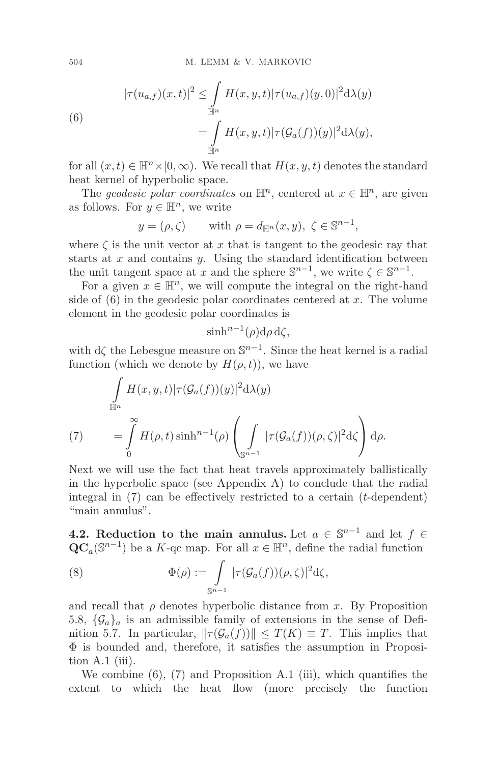(6)  

$$
|\tau(u_{a,f})(x,t)|^2 \leq \int_{\mathbb{H}^n} H(x,y,t)|\tau(u_{a,f})(y,0)|^2 d\lambda(y)
$$

$$
= \int_{\mathbb{H}^n} H(x,y,t)|\tau(\mathcal{G}_a(f))(y)|^2 d\lambda(y),
$$

for all  $(x, t) \in \mathbb{H}^n \times [0, \infty)$ . We recall that  $H(x, y, t)$  denotes the standard heat kernel of hyperbolic space.

The geodesic polar coordinates on  $\mathbb{H}^n$ , centered at  $x \in \mathbb{H}^n$ , are given as follows. For  $y \in \mathbb{H}^n$ , we write

$$
y = (\rho, \zeta)
$$
 with  $\rho = d_{\mathbb{H}^n}(x, y), \zeta \in \mathbb{S}^{n-1}$ ,

where  $\zeta$  is the unit vector at x that is tangent to the geodesic ray that starts at  $x$  and contains  $y$ . Using the standard identification between the unit tangent space at x and the sphere  $\mathbb{S}^{n-1}$ , we write  $\zeta \in \mathbb{S}^{n-1}$ .

For a given  $x \in \mathbb{H}^n$ , we will compute the integral on the right-hand side of  $(6)$  in the geodesic polar coordinates centered at x. The volume element in the geodesic polar coordinates is

$$
\sinh^{n-1}(\rho) d\rho d\zeta,
$$

with  $d\zeta$  the Lebesgue measure on  $\mathbb{S}^{n-1}$ . Since the heat kernel is a radial function (which we denote by  $H(\rho, t)$ ), we have

$$
\int_{\mathbb{H}^n} H(x, y, t) |\tau(\mathcal{G}_a(f))(y)|^2 d\lambda(y)
$$
\n
$$
(7) \qquad = \int_0^\infty H(\rho, t) \sinh^{n-1}(\rho) \left( \int_{\mathbb{S}^{n-1}} |\tau(\mathcal{G}_a(f))(\rho, \zeta)|^2 d\zeta \right) d\rho.
$$

Next we will use the fact that heat travels approximately ballistically in the hyperbolic space (see Appendix  $A$ ) to conclude that the radial integral in (7) can be effectively restricted to a certain (t-dependent) "main annulus".

**4.2. Reduction to the main annulus.** Let  $a \in \mathbb{S}^{n-1}$  and let  $f \in$  $\mathbf{QC}_a(\mathbb{S}^{n-1})$  be a K-qc map. For all  $x \in \mathbb{H}^n$ , define the radial function

(8) 
$$
\Phi(\rho) := \int\limits_{\mathbb{S}^{n-1}} |\tau(\mathcal{G}_a(f))(\rho,\zeta)|^2 d\zeta,
$$

and recall that  $\rho$  denotes hyperbolic distance from x. By Proposition 5.8,  $\{\mathcal{G}_a\}_a$  is an admissible family of extensions in the sense of Definition 5.7. In particular,  $\|\tau(\mathcal{G}_a(f))\| \leq T(K) \equiv T$ . This implies that  $\Phi$  is bounded and, therefore, it satisfies the assumption in Proposition  $A.1$  (iii).

We combine (6), (7) and Proposition A.1 (iii), which quantifies the extent to which the heat flow (more precisely the function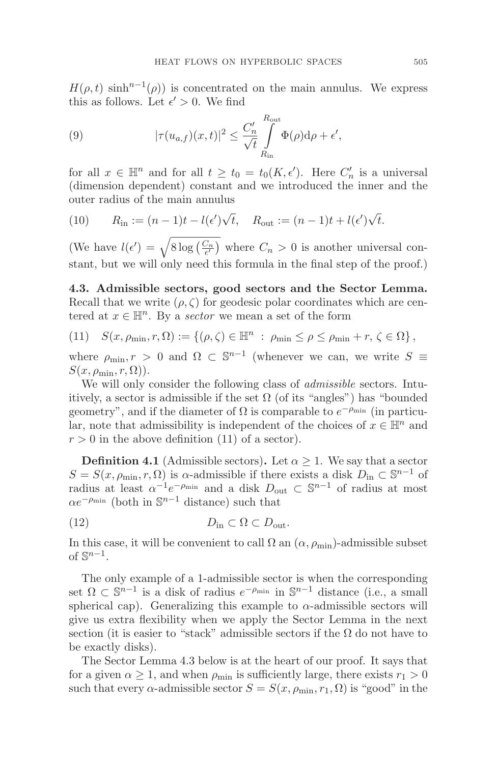$H(\rho, t)$  sinh<sup>n-1</sup>( $\rho$ )) is concentrated on the main annulus. We express this as follows. Let  $\epsilon' > 0$ . We find

(9) 
$$
|\tau(u_{a,f})(x,t)|^2 \leq \frac{C'_n}{\sqrt{t}} \int_{R_{\text{in}}}^{R_{\text{out}}} \Phi(\rho) d\rho + \epsilon',
$$

for all  $x \in \mathbb{H}^n$  and for all  $t \ge t_0 = t_0(K, \epsilon')$ . Here  $C'_n$  is a universal (dimension dependent) constant and we introduced the inner and the outer radius of the main annulus

(10) 
$$
R_{\text{in}} := (n-1)t - l(\epsilon')\sqrt{t}, \quad R_{\text{out}} := (n-1)t + l(\epsilon')\sqrt{t}.
$$

(We have  $l(\epsilon') = \sqrt{8 \log\left(\frac{C_n}{\epsilon'}\right)}$  where  $C_n > 0$  is another universal constant, but we will only need this formula in the final step of the proof.)

**4.3. Admissible sectors, good sectors and the Sector Lemma.** Recall that we write  $(\rho, \zeta)$  for geodesic polar coordinates which are centered at  $x \in \mathbb{H}^n$ . By a sector we mean a set of the form

(11) 
$$
S(x, \rho_{\min}, r, \Omega) := \{ (\rho, \zeta) \in \mathbb{H}^n : \rho_{\min} \le \rho \le \rho_{\min} + r, \zeta \in \Omega \},
$$

where  $\rho_{\min}, r > 0$  and  $\Omega \subset \mathbb{S}^{n-1}$  (whenever we can, we write  $S \equiv$  $S(x, \rho_{\min}, r, \Omega)$ ).

We will only consider the following class of *admissible* sectors. Intuitively, a sector is admissible if the set  $\Omega$  (of its "angles") has "bounded geometry", and if the diameter of  $\Omega$  is comparable to  $e^{-\rho_{\min}}$  (in particular, note that admissibility is independent of the choices of  $x \in \mathbb{H}^n$  and  $r > 0$  in the above definition (11) of a sector).

**Definition 4.1** (Admissible sectors). Let  $\alpha \geq 1$ . We say that a sector  $S = S(x, \rho_{\min}, r, \Omega)$  is  $\alpha$ -admissible if there exists a disk  $D_{\text{in}} \subset \mathbb{S}^{n-1}$  of radius at least  $\alpha^{-1}e^{-\rho_{\min}}$  and a disk  $D_{\text{out}} \subset \mathbb{S}^{n-1}$  of radius at most  $\alpha e^{-\rho_{\min}}$  (both in  $\mathbb{S}^{n-1}$  distance) such that

$$
(12) \t\t Din \subset \Omega \subset Dout.
$$

In this case, it will be convenient to call  $\Omega$  an  $(\alpha, \rho_{\min})$ -admissible subset of  $\mathbb{S}^{n-1}$ .

The only example of a 1-admissible sector is when the corresponding set  $\Omega \subset \mathbb{S}^{n-1}$  is a disk of radius  $e^{-\rho_{\min}}$  in  $\mathbb{S}^{n-1}$  distance (i.e., a small spherical cap). Generalizing this example to  $\alpha$ -admissible sectors will give us extra flexibility when we apply the Sector Lemma in the next section (it is easier to "stack" admissible sectors if the  $\Omega$  do not have to be exactly disks).

The Sector Lemma 4.3 below is at the heart of our proof. It says that for a given  $\alpha \geq 1$ , and when  $\rho_{\min}$  is sufficiently large, there exists  $r_1 > 0$ such that every  $\alpha$ -admissible sector  $S = S(x, \rho_{\min}, r_1, \Omega)$  is "good" in the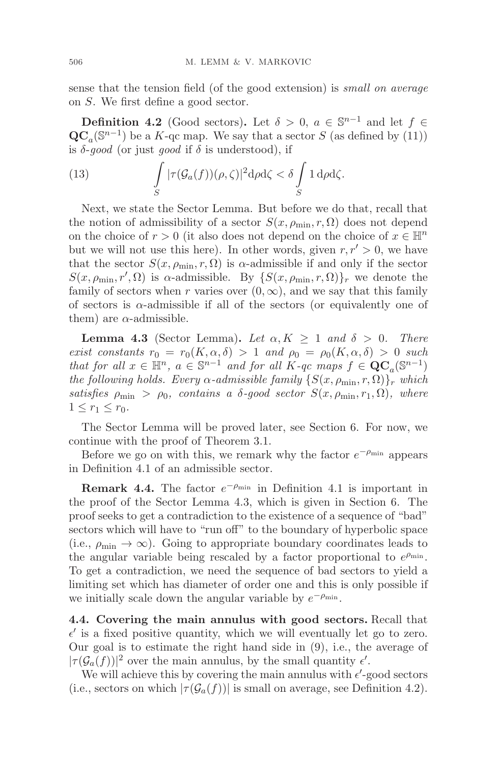sense that the tension field (of the good extension) is small on average on S. We first define a good sector.

**Definition 4.2** (Good sectors). Let  $\delta > 0$ ,  $a \in \mathbb{S}^{n-1}$  and let  $f \in$  $\mathbf{QC}_a(\mathbb{S}^{n-1})$  be a K-qc map. We say that a sector S (as defined by (11)) is  $\delta$ -good (or just good if  $\delta$  is understood), if

(13) 
$$
\int_{S} |\tau(\mathcal{G}_a(f))(\rho,\zeta)|^2 d\rho d\zeta < \delta \int_{S} 1 d\rho d\zeta.
$$

Next, we state the Sector Lemma. But before we do that, recall that the notion of admissibility of a sector  $S(x, \rho_{\min}, r, \Omega)$  does not depend on the choice of  $r > 0$  (it also does not depend on the choice of  $x \in \mathbb{H}^n$ but we will not use this here). In other words, given  $r, r' > 0$ , we have that the sector  $S(x, \rho_{\min}, r, \Omega)$  is  $\alpha$ -admissible if and only if the sector  $S(x, \rho_{\min}, r', \Omega)$  is  $\alpha$ -admissible. By  $\{S(x, \rho_{\min}, r, \Omega)\}_r$  we denote the family of sectors when r varies over  $(0, \infty)$ , and we say that this family of sectors is  $\alpha$ -admissible if all of the sectors (or equivalently one of them) are  $\alpha$ -admissible.

**Lemma 4.3** (Sector Lemma). Let  $\alpha, K \geq 1$  and  $\delta > 0$ . There exist constants  $r_0 = r_0(K, \alpha, \delta) > 1$  and  $\rho_0 = \rho_0(K, \alpha, \delta) > 0$  such that for all  $x \in \mathbb{H}^n$ ,  $a \in \mathbb{S}^{n-1}$  and for all  $K$ -qc maps  $f \in \mathbf{QC}_a(\mathbb{S}^{n-1})$ the following holds. Every  $\alpha$ -admissible family  $\{S(x, \rho_{\min}, r, \Omega)\}_r$  which satisfies  $\rho_{\min} > \rho_0$ , contains a δ-good sector  $S(x, \rho_{\min}, r_1, \Omega)$ , where  $1 \leq r_1 \leq r_0$ .

The Sector Lemma will be proved later, see Section 6. For now, we continue with the proof of Theorem 3.1.

Before we go on with this, we remark why the factor  $e^{-\rho_{\min}}$  appears in Definition 4.1 of an admissible sector.

**Remark 4.4.** The factor  $e^{-\rho_{\min}}$  in Definition 4.1 is important in the proof of the Sector Lemma 4.3, which is given in Section 6. The proof seeks to get a contradiction to the existence of a sequence of "bad" sectors which will have to "run off" to the boundary of hyperbolic space (i.e.,  $\rho_{\min} \rightarrow \infty$ ). Going to appropriate boundary coordinates leads to the angular variable being rescaled by a factor proportional to  $e^{\rho_{\min}}$ . To get a contradiction, we need the sequence of bad sectors to yield a limiting set which has diameter of order one and this is only possible if we initially scale down the angular variable by  $e^{-\rho_{\min}}$ .

**4.4. Covering the main annulus with good sectors.** Recall that  $\epsilon'$  is a fixed positive quantity, which we will eventually let go to zero. Our goal is to estimate the right hand side in (9), i.e., the average of  $|\tau(\mathcal{G}_a(f))|^2$  over the main annulus, by the small quantity  $\epsilon'$ .

We will achieve this by covering the main annulus with  $\epsilon'$ -good sectors (i.e., sectors on which  $|\tau(\mathcal{G}_a(f))|$  is small on average, see Definition 4.2).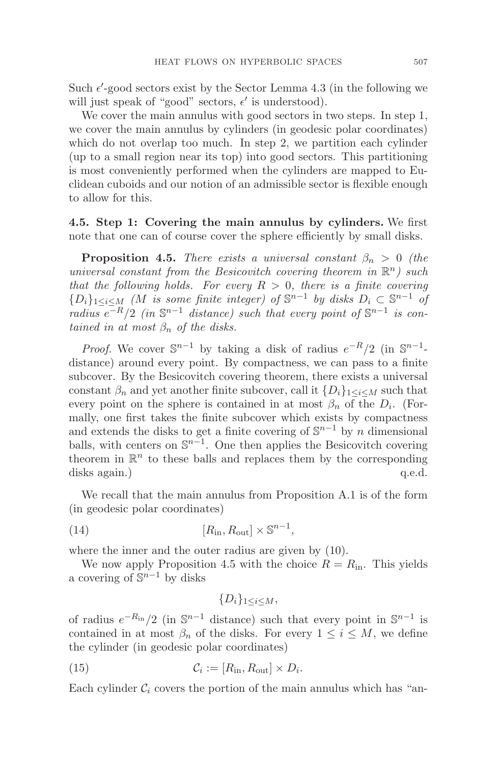Such  $\epsilon'$ -good sectors exist by the Sector Lemma 4.3 (in the following we will just speak of "good" sectors,  $\epsilon'$  is understood).

We cover the main annulus with good sectors in two steps. In step 1, we cover the main annulus by cylinders (in geodesic polar coordinates) which do not overlap too much. In step 2, we partition each cylinder (up to a small region near its top) into good sectors. This partitioning is most conveniently performed when the cylinders are mapped to Euclidean cuboids and our notion of an admissible sector is flexible enough to allow for this.

**4.5. Step 1: Covering the main annulus by cylinders.** We first note that one can of course cover the sphere efficiently by small disks.

**Proposition 4.5.** There exists a universal constant  $\beta_n > 0$  (the universal constant from the Besicovitch covering theorem in  $\mathbb{R}^n$ ) such that the following holds. For every  $R > 0$ , there is a finite covering  ${D_i}_{1 \leq i \leq M}$  (M is some finite integer) of  $\mathbb{S}^{n-1}$  by disks  $D_i \subset \mathbb{S}^{n-1}$  of radius  $e^{-R/2}$  (in  $\mathbb{S}^{n-1}$  distance) such that every point of  $\mathbb{S}^{n-1}$  is contained in at most  $\beta_n$  of the disks.

*Proof.* We cover  $\mathbb{S}^{n-1}$  by taking a disk of radius  $e^{-R/2}$  (in  $\mathbb{S}^{n-1}$ distance) around every point. By compactness, we can pass to a finite subcover. By the Besicovitch covering theorem, there exists a universal constant  $\beta_n$  and yet another finite subcover, call it  $\{D_i\}_{1\leq i\leq M}$  such that every point on the sphere is contained in at most  $\beta_n$  of the  $D_i$ . (Formally, one first takes the finite subcover which exists by compactness and extends the disks to get a finite covering of  $\mathbb{S}^{n-1}$  by n dimensional balls, with centers on  $\mathbb{S}^{n-1}$ . One then applies the Besicovitch covering theorem in  $\mathbb{R}^n$  to these balls and replaces them by the corresponding disks again.) q.e.d.

We recall that the main annulus from Proposition A.1 is of the form (in geodesic polar coordinates)

(14) 
$$
[R_{\rm in}, R_{\rm out}] \times \mathbb{S}^{n-1},
$$

where the inner and the outer radius are given by (10).

We now apply Proposition 4.5 with the choice  $R = R_{\text{in}}$ . This yields a covering of  $\mathbb{S}^{n-1}$  by disks

$$
\{D_i\}_{1\leq i\leq M},
$$

of radius  $e^{-R_{\text{in}}}/2$  (in  $\mathbb{S}^{n-1}$  distance) such that every point in  $\mathbb{S}^{n-1}$  is contained in at most  $\beta_n$  of the disks. For every  $1 \leq i \leq M$ , we define the cylinder (in geodesic polar coordinates)

(15) 
$$
\mathcal{C}_i := [R_{\text{in}}, R_{\text{out}}] \times D_i.
$$

Each cylinder  $\mathcal{C}_i$  covers the portion of the main annulus which has "an-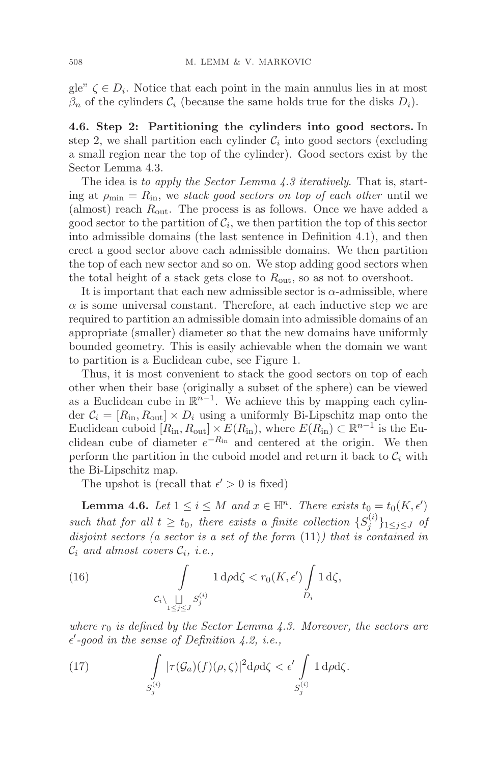gle"  $\zeta \in D_i$ . Notice that each point in the main annulus lies in at most  $\beta_n$  of the cylinders  $\mathcal{C}_i$  (because the same holds true for the disks  $D_i$ ).

**4.6. Step 2: Partitioning the cylinders into good sectors.** In step 2, we shall partition each cylinder  $\mathcal{C}_i$  into good sectors (excluding a small region near the top of the cylinder). Good sectors exist by the Sector Lemma 4.3.

The idea is to apply the Sector Lemma 4.3 iteratively. That is, starting at  $\rho_{\min} = R_{\text{in}}$ , we stack good sectors on top of each other until we (almost) reach  $R_{\text{out}}$ . The process is as follows. Once we have added a good sector to the partition of  $\mathcal{C}_i$ , we then partition the top of this sector into admissible domains (the last sentence in Definition 4.1), and then erect a good sector above each admissible domains. We then partition the top of each new sector and so on. We stop adding good sectors when the total height of a stack gets close to  $R_{\text{out}}$ , so as not to overshoot.

It is important that each new admissible sector is  $\alpha$ -admissible, where  $\alpha$  is some universal constant. Therefore, at each inductive step we are required to partition an admissible domain into admissible domains of an appropriate (smaller) diameter so that the new domains have uniformly bounded geometry. This is easily achievable when the domain we want to partition is a Euclidean cube, see Figure 1.

Thus, it is most convenient to stack the good sectors on top of each other when their base (originally a subset of the sphere) can be viewed as a Euclidean cube in  $\mathbb{R}^{n-1}$ . We achieve this by mapping each cylinder  $C_i = [R_{\text{in}}, R_{\text{out}}] \times D_i$  using a uniformly Bi-Lipschitz map onto the Euclidean cuboid  $[R_{\rm in}, R_{\rm out}] \times E(R_{\rm in}),$  where  $E(R_{\rm in}) \subset \mathbb{R}^{n-1}$  is the Euclidean cube of diameter  $e^{-R_{\text{in}}}$  and centered at the origin. We then perform the partition in the cuboid model and return it back to  $C_i$  with the Bi-Lipschitz map.

The upshot is (recall that  $\epsilon' > 0$  is fixed)

**Lemma 4.6.** Let  $1 \leq i \leq M$  and  $x \in \mathbb{H}^n$ . There exists  $t_0 = t_0(K, \epsilon)$ such that for all  $t \geq t_0$ , there exists a finite collection  $\{S_j^{(i)}\}_{1 \leq j \leq J}$  of disjoint sectors (a sector is a set of the form (11)) that is contained in  $\mathcal{C}_i$  and almost covers  $\mathcal{C}_i$ , *i.e.*,

(16) 
$$
\int_{C_i \setminus \bigsqcup_{1 \leq j \leq J} S_j^{(i)}} 1 \, \mathrm{d}\rho \mathrm{d}\zeta < r_0(K, \epsilon') \int_{D_i} 1 \, \mathrm{d}\zeta,
$$

where  $r_0$  is defined by the Sector Lemma 4.3. Moreover, the sectors are  $\epsilon'$ -good in the sense of Definition 4.2, i.e.,

(17) 
$$
\int_{S_j^{(i)}} |\tau(\mathcal{G}_a)(f)(\rho,\zeta)|^2 d\rho d\zeta < \epsilon' \int_{S_j^{(i)}} 1 d\rho d\zeta.
$$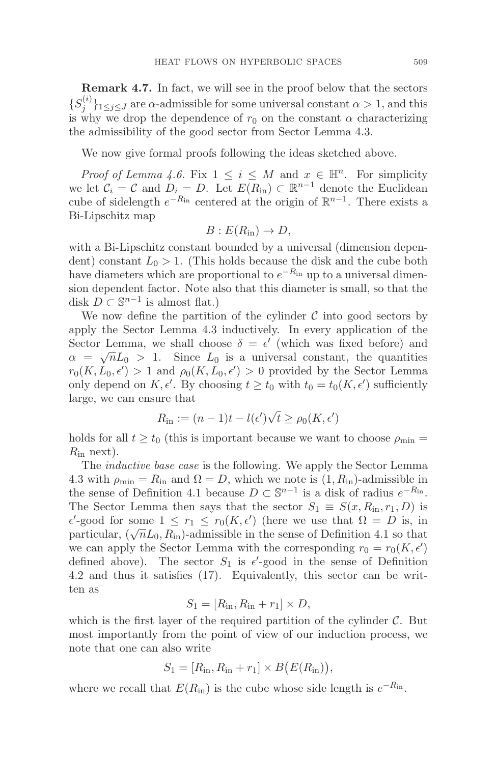**Remark 4.7.** In fact, we will see in the proof below that the sectors  $\{S_j^{(i)}\}_{1\leq j\leq J}$  are  $\alpha$ -admissible for some universal constant  $\alpha > 1$ , and this is why we drop the dependence of  $r_0$  on the constant  $\alpha$  characterizing the admissibility of the good sector from Sector Lemma 4.3.

We now give formal proofs following the ideas sketched above.

*Proof of Lemma 4.6.* Fix  $1 \leq i \leq M$  and  $x \in \mathbb{H}^n$ . For simplicity we let  $C_i = C$  and  $D_i = D$ . Let  $E(R_{\text{in}}) \subset \mathbb{R}^{n-1}$  denote the Euclidean cube of sidelength  $e^{-R_{\text{in}}}$  centered at the origin of  $\mathbb{R}^{n-1}$ . There exists a Bi-Lipschitz map

$$
B: E(R_{\rm in}) \to D,
$$

with a Bi-Lipschitz constant bounded by a universal (dimension dependent) constant  $L_0 > 1$ . (This holds because the disk and the cube both have diameters which are proportional to  $e^{-R_{in}}$  up to a universal dimension dependent factor. Note also that this diameter is small, so that the disk  $D \subset \mathbb{S}^{n-1}$  is almost flat.)

We now define the partition of the cylinder  $\mathcal C$  into good sectors by apply the Sector Lemma 4.3 inductively. In every application of the Sector Lemma, we shall choose  $\delta = \epsilon'$  (which was fixed before) and  $\alpha = \sqrt{n}L_0 > 1$ . Since  $L_0$  is a universal constant, the quantities  $r_0(K, L_0, \epsilon') > 1$  and  $\rho_0(K, L_0, \epsilon') > 0$  provided by the Sector Lemma only depend on  $K, \epsilon'$ . By choosing  $t \ge t_0$  with  $t_0 = t_0(K, \epsilon')$  sufficiently large, we can ensure that

$$
R_{\rm in} := (n-1)t - l(\epsilon')\sqrt{t} \ge \rho_0(K, \epsilon')
$$

holds for all  $t \geq t_0$  (this is important because we want to choose  $\rho_{\min} =$  $R_{\rm in}$  next).

The inductive base case is the following. We apply the Sector Lemma 4.3 with  $\rho_{\min} = R_{\text{in}}$  and  $\Omega = D$ , which we note is  $(1, R_{\text{in}})$ -admissible in the sense of Definition 4.1 because  $D \subset \mathbb{S}^{n-1}$  is a disk of radius  $e^{-R_{in}}$ . The Sector Lemma then says that the sector  $S_1 \equiv S(x, R_{\text{in}}, r_1, D)$  is  $\epsilon'$ -good for some  $1 \leq r_1 \leq r_0(K, \epsilon')$  (here we use that  $\Omega = D$  is, in particular,  $(\sqrt{n}L_0, R_{\rm in})$ -admissible in the sense of Definition 4.1 so that we can apply the Sector Lemma with the corresponding  $r_0 = r_0(K, \epsilon')$ defined above). The sector  $S_1$  is  $\epsilon'$ -good in the sense of Definition 4.2 and thus it satisfies (17). Equivalently, this sector can be written as

$$
S_1 = [R_{\rm in}, R_{\rm in} + r_1] \times D,
$$

which is the first layer of the required partition of the cylinder  $\mathcal{C}$ . But most importantly from the point of view of our induction process, we note that one can also write

$$
S_1 = [R_{\rm in}, R_{\rm in} + r_1] \times B(E(R_{\rm in})),
$$

where we recall that  $E(R_{\text{in}})$  is the cube whose side length is  $e^{-R_{\text{in}}}$ .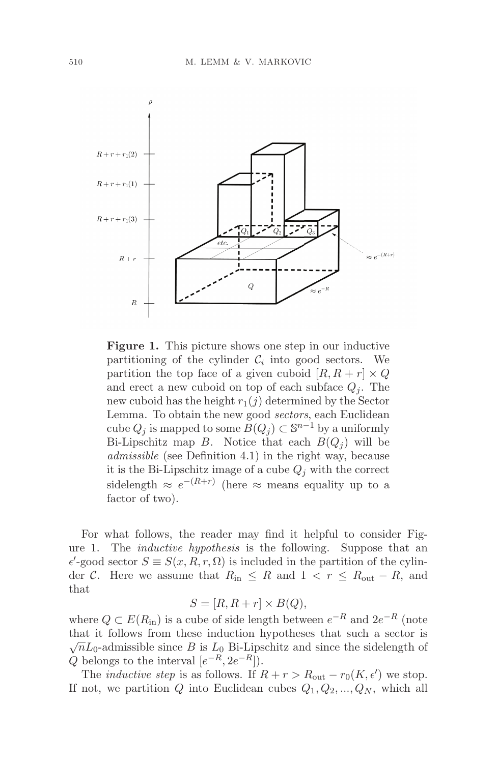

**Figure 1.** This picture shows one step in our inductive partitioning of the cylinder  $\mathcal{C}_i$  into good sectors. We partition the top face of a given cuboid  $[R, R + r] \times Q$ and erect a new cuboid on top of each subface  $Q_i$ . The new cuboid has the height  $r_1(j)$  determined by the Sector Lemma. To obtain the new good sectors, each Euclidean cube  $Q_j$  is mapped to some  $B(Q_j) \subset \mathbb{S}^{n-1}$  by a uniformly Bi-Lipschitz map B. Notice that each  $B(Q_i)$  will be admissible (see Definition 4.1) in the right way, because it is the Bi-Lipschitz image of a cube  $Q_j$  with the correct sidelength  $\approx e^{-(R+r)}$  (here  $\approx$  means equality up to a factor of two).

For what follows, the reader may find it helpful to consider Figure 1. The inductive hypothesis is the following. Suppose that an  $\epsilon'$ -good sector  $S \equiv S(x, R, r, \Omega)$  is included in the partition of the cylinder C. Here we assume that  $R_{\text{in}} \leq R$  and  $1 < r \leq R_{\text{out}} - R$ , and that

$$
S = [R, R + r] \times B(Q),
$$

where  $Q \subset E(R_{\text{in}})$  is a cube of side length between  $e^{-R}$  and  $2e^{-R}$  (note that it follows from these induction hypotheses that such a sector is  $\sqrt{n}L_0$ -admissible since B is  $L_0$  Bi-Lipschitz and since the sidelength of  $Q$  belongs to the interval  $[e^{-R}, 2e^{-R}]$ ).

The *inductive step* is as follows. If  $R + r > R_{\text{out}} - r_0(K, \epsilon')$  we stop. If not, we partition Q into Euclidean cubes  $Q_1, Q_2, ..., Q_N$ , which all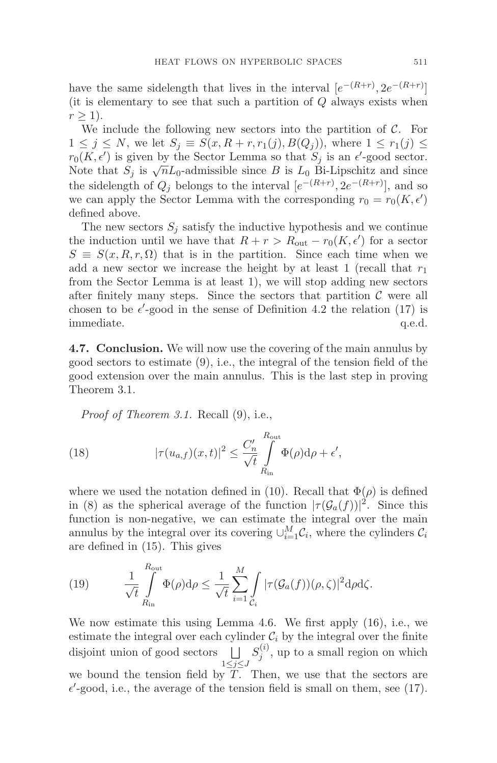have the same sidelength that lives in the interval  $[e^{-(R+r)}, 2e^{-(R+r)}]$ (it is elementary to see that such a partition of  $Q$  always exists when  $r \geq 1$ ).

We include the following new sectors into the partition of  $\mathcal{C}$ . For  $1 \leq j \leq N$ , we let  $S_j \equiv S(x, R+r, r_1(j), B(Q_j))$ , where  $1 \leq r_1(j) \leq$  $r_0(K, \epsilon')$  is given by the Sector Lemma so that  $S_j$  is an  $\epsilon'$ -good sector. Note that  $S_j$  is  $\sqrt{n}L_0$ -admissible since B is  $L_0$  Bi-Lipschitz and since the sidelength of  $Q_j$  belongs to the interval  $[e^{-(R+r)}, 2e^{-(R+r)}]$ , and so we can apply the Sector Lemma with the corresponding  $r_0 = r_0(K, \epsilon')$ defined above.

The new sectors  $S_j$  satisfy the inductive hypothesis and we continue the induction until we have that  $R + r > R_{\text{out}} - r_0(K, \epsilon')$  for a sector  $S \equiv S(x, R, r, \Omega)$  that is in the partition. Since each time when we add a new sector we increase the height by at least 1 (recall that  $r_1$ ) from the Sector Lemma is at least 1), we will stop adding new sectors after finitely many steps. Since the sectors that partition  $\mathcal C$  were all chosen to be  $\epsilon'$ -good in the sense of Definition 4.2 the relation (17) is immediate.  $q.e.d.$ 

**4.7. Conclusion.** We will now use the covering of the main annulus by good sectors to estimate (9), i.e., the integral of the tension field of the good extension over the main annulus. This is the last step in proving Theorem 3.1.

Proof of Theorem 3.1. Recall (9), i.e.,

(18) 
$$
|\tau(u_{a,f})(x,t)|^2 \leq \frac{C'_n}{\sqrt{t}} \int_{R_{\text{in}}}^{R_{\text{out}}} \Phi(\rho) d\rho + \epsilon',
$$

where we used the notation defined in (10). Recall that  $\Phi(\rho)$  is defined in (8) as the spherical average of the function  $|\tau(\mathcal{G}_a(f))|^2$ . Since this function is non-negative, we can estimate the integral over the main annulus by the integral over its covering  $\cup_{i=1}^M C_i$ , where the cylinders  $C_i$ are defined in (15). This gives

(19) 
$$
\frac{1}{\sqrt{t}} \int_{R_{\text{in}}}^{R_{\text{out}}} \Phi(\rho) d\rho \leq \frac{1}{\sqrt{t}} \sum_{i=1}^{M} \int_{C_i} |\tau(\mathcal{G}_a(f))(\rho, \zeta)|^2 d\rho d\zeta.
$$

We now estimate this using Lemma 4.6. We first apply (16), i.e., we estimate the integral over each cylinder  $C_i$  by the integral over the finite disjoint union of good sectors  $\Box$  $1\leq j\leq J$  $S_j^{(i)}$ , up to a small region on which we bound the tension field by  $T$ . Then, we use that the sectors are  $\epsilon'$ -good, i.e., the average of the tension field is small on them, see (17).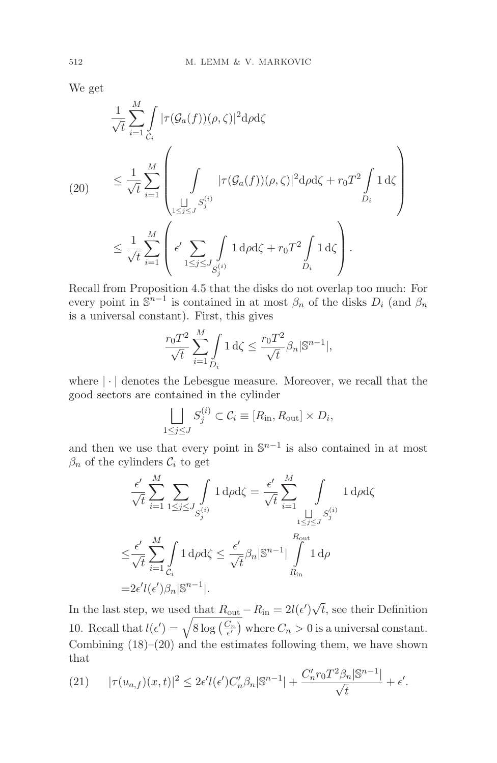We get

$$
\frac{1}{\sqrt{t}} \sum_{i=1}^{M} \int_{C_i} |\tau(\mathcal{G}_a(f))(\rho,\zeta)|^2 d\rho d\zeta
$$
\n
$$
(20) \leq \frac{1}{\sqrt{t}} \sum_{i=1}^{M} \left( \int_{\substack{\bigsqcup_{1 \leq j \leq J} S_j^{(i)} \\ 1 \leq j \leq J}} |\tau(\mathcal{G}_a(f))(\rho,\zeta)|^2 d\rho d\zeta + r_0 T^2 \int_{D_i} 1 d\zeta \right)
$$
\n
$$
\leq \frac{1}{\sqrt{t}} \sum_{i=1}^{M} \left( \epsilon' \sum_{1 \leq j \leq J} \int_{S_j^{(i)}} 1 d\rho d\zeta + r_0 T^2 \int_{D_i} 1 d\zeta \right).
$$

Recall from Proposition 4.5 that the disks do not overlap too much: For every point in  $\mathbb{S}^{n-1}$  is contained in at most  $\beta_n$  of the disks  $D_i$  (and  $\beta_n$ ) is a universal constant). First, this gives

$$
\frac{r_0 T^2}{\sqrt{t}} \sum_{i=1}^M \int_{D_i} 1 \, d\zeta \le \frac{r_0 T^2}{\sqrt{t}} \beta_n |\mathbb{S}^{n-1}|,
$$

where  $|\cdot|$  denotes the Lebesgue measure. Moreover, we recall that the good sectors are contained in the cylinder

$$
\bigsqcup_{1 \le j \le J} S_j^{(i)} \subset \mathcal{C}_i \equiv [R_{\text{in}}, R_{\text{out}}] \times D_i,
$$

and then we use that every point in  $\mathbb{S}^{n-1}$  is also contained in at most  $\beta_n$  of the cylinders  $\mathcal{C}_i$  to get

$$
\frac{\epsilon'}{\sqrt{t}} \sum_{i=1}^{M} \sum_{1 \le j \le J} \int_{S_j^{(i)}} 1 \, d\rho d\zeta = \frac{\epsilon'}{\sqrt{t}} \sum_{i=1}^{M} \int_{\substack{1 \le j \le J \\ 1 \le j \le J}} 1 \, d\rho d\zeta
$$
\n
$$
\le \frac{\epsilon'}{\sqrt{t}} \sum_{i=1}^{M} \int_{C_i} 1 \, d\rho d\zeta \le \frac{\epsilon'}{\sqrt{t}} \beta_n |S^{n-1}| \int_{R_{in}}^{R_{out}} 1 \, d\rho
$$
\n
$$
= 2\epsilon' l(\epsilon') \beta_n |S^{n-1}|.
$$

In the last step, we used that  $R_{\text{out}} - R_{\text{in}} = 2l(\epsilon')\sqrt{t}$ , see their Definition 10. Recall that  $l(\epsilon') = \sqrt{8 \log\left(\frac{C_n}{\epsilon'}\right)}$  where  $C_n > 0$  is a universal constant. Combining  $(18)$ – $(20)$  and the estimates following them, we have shown that

(21) 
$$
|\tau(u_{a,f})(x,t)|^2 \leq 2\epsilon' l(\epsilon')C_n'\beta_n|\mathbb{S}^{n-1}| + \frac{C_n' r_0 T^2 \beta_n |\mathbb{S}^{n-1}|}{\sqrt{t}} + \epsilon'.
$$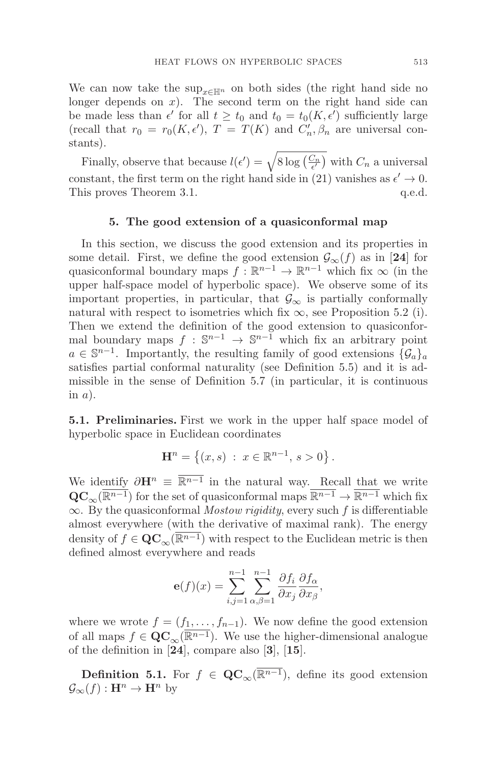We can now take the sup<sub>x∈Hn</sub> on both sides (the right hand side no longer depends on  $x$ ). The second term on the right hand side can be made less than  $\epsilon'$  for all  $t \geq t_0$  and  $t_0 = t_0(K, \epsilon')$  sufficiently large (recall that  $r_0 = r_0(K, \epsilon'), T = T(K)$  and  $C'_n, \beta_n$  are universal constants).

Finally, observe that because  $l(\epsilon') = \sqrt{8 \log\left(\frac{C_n}{\epsilon'}\right)}$  with  $C_n$  a universal constant, the first term on the right hand side in (21) vanishes as  $\epsilon' \to 0$ .<br>This proves Theorem 3.1. q.e.d. This proves Theorem 3.1.

# **5. The good extension of a quasiconformal map**

In this section, we discuss the good extension and its properties in some detail. First, we define the good extension  $\mathcal{G}_{\infty}(f)$  as in [24] for quasiconformal boundary maps  $f : \mathbb{R}^{n-1} \to \mathbb{R}^{n-1}$  which fix  $\infty$  (in the upper half-space model of hyperbolic space). We observe some of its important properties, in particular, that  $\mathcal{G}_{\infty}$  is partially conformally natural with respect to isometries which fix  $\infty$ , see Proposition 5.2 (i). Then we extend the definition of the good extension to quasiconformal boundary maps  $f : \mathbb{S}^{n-1} \to \mathbb{S}^{n-1}$  which fix an arbitrary point  $a \in \mathbb{S}^{n-1}$ . Importantly, the resulting family of good extensions  $\{\mathcal{G}_a\}_a$ satisfies partial conformal naturality (see Definition 5.5) and it is admissible in the sense of Definition 5.7 (in particular, it is continuous in  $a$ ).

**5.1. Preliminaries.** First we work in the upper half space model of hyperbolic space in Euclidean coordinates

$$
\mathbf{H}^{n} = \{ (x, s) : x \in \mathbb{R}^{n-1}, s > 0 \}.
$$

We identify  $\partial \mathbf{H}^n \equiv \overline{\mathbb{R}^{n-1}}$  in the natural way. Recall that we write  $\mathbf{QC}_{\infty}(\overline{\mathbb{R}^{n-1}})$  for the set of quasiconformal maps  $\overline{\mathbb{R}^{n-1}} \to \overline{\mathbb{R}^{n-1}}$  which fix  $\infty$ . By the quasiconformal *Mostow rigidity*, every such f is differentiable almost everywhere (with the derivative of maximal rank). The energy density of  $f \in \mathbf{QC}_{\infty}(\overline{\mathbb{R}^{n-1}})$  with respect to the Euclidean metric is then defined almost everywhere and reads

$$
\mathbf{e}(f)(x) = \sum_{i,j=1}^{n-1} \sum_{\alpha,\beta=1}^{n-1} \frac{\partial f_i}{\partial x_j} \frac{\partial f_\alpha}{\partial x_\beta},
$$

where we wrote  $f = (f_1, \ldots, f_{n-1})$ . We now define the good extension of all maps  $f \in \mathbf{QC}_{\infty}(\overline{\mathbb{R}^{n-1}})$ . We use the higher-dimensional analogue of the definition in [**24**], compare also [**3**], [**15**].

**Definition 5.1.** For  $f \in \mathbf{QC}_{\infty}(\overline{\mathbb{R}^{n-1}})$ , define its good extension  $\mathcal{G}_{\infty}(f): \mathbf{H}^n \to \mathbf{H}^n$  by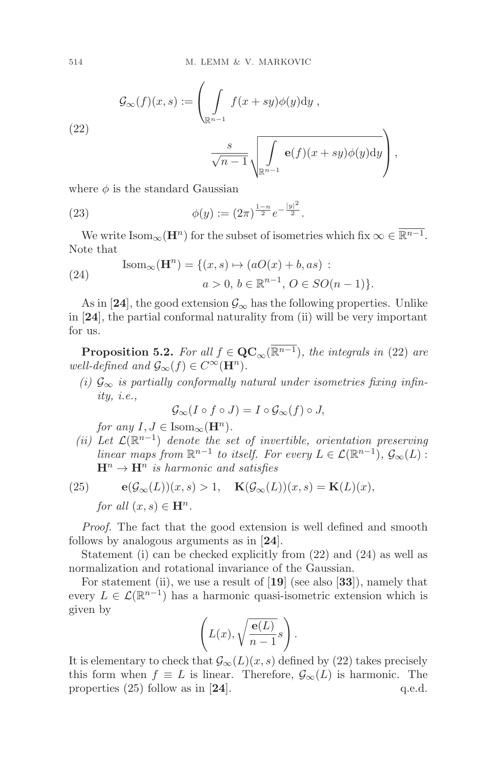(22)  

$$
\mathcal{G}_{\infty}(f)(x,s) := \left(\int_{\mathbb{R}^{n-1}} f(x+sy)\phi(y)dy,
$$

$$
\frac{s}{\sqrt{n-1}}\sqrt{\int_{\mathbb{R}^{n-1}} \mathbf{e}(f)(x+sy)\phi(y)dy}\right),
$$

where  $\phi$  is the standard Gaussian

(23) 
$$
\phi(y) := (2\pi)^{\frac{1-n}{2}} e^{-\frac{|y|^2}{2}}.
$$

We write Isom<sub>∞</sub>( $\mathbf{H}^n$ ) for the subset of isometries which fix  $\infty \in \overline{\mathbb{R}^{n-1}}$ . Note that

(24) 
$$
\text{Isom}_{\infty}(\mathbf{H}^{n}) = \{ (x, s) \mapsto (aO(x) + b, as) : a > 0, b \in \mathbb{R}^{n-1}, O \in SO(n-1) \}.
$$

As in [24], the good extension  $\mathcal{G}_{\infty}$  has the following properties. Unlike in [**24**], the partial conformal naturality from (ii) will be very important for us.

**Proposition 5.2.** For all  $f \in \mathbf{QC}_{\infty}(\overline{\mathbb{R}^{n-1}})$ , the integrals in (22) are well-defined and  $\mathcal{G}_{\infty}(f) \in C^{\infty}(\mathbf{H}^n)$ .

(i)  $\mathcal{G}_{\infty}$  is partially conformally natural under isometries fixing infinity, i.e.,

$$
\mathcal{G}_{\infty}(I \circ f \circ J) = I \circ \mathcal{G}_{\infty}(f) \circ J,
$$

for any  $I, J \in \text{Isom}_{\infty}(\mathbf{H}^n)$ .

(ii) Let  $\mathcal{L}(\mathbb{R}^{n-1})$  denote the set of invertible, orientation preserving linear maps from  $\mathbb{R}^{n-1}$  to itself. For every  $L \in \mathcal{L}(\mathbb{R}^{n-1}), \mathcal{G}_{\infty}(L)$ :  $\mathbf{H}^n \to \mathbf{H}^n$  is harmonic and satisfies

(25) 
$$
\mathbf{e}(\mathcal{G}_{\infty}(L))(x,s) > 1, \quad \mathbf{K}(\mathcal{G}_{\infty}(L))(x,s) = \mathbf{K}(L)(x),
$$
  
for all  $(x,s) \in \mathbf{H}^n$ .

Proof. The fact that the good extension is well defined and smooth follows by analogous arguments as in [**24**].

Statement (i) can be checked explicitly from (22) and (24) as well as normalization and rotational invariance of the Gaussian.

For statement (ii), we use a result of [**19**] (see also [**33**]), namely that every  $L \in \mathcal{L}(\mathbb{R}^{n-1})$  has a harmonic quasi-isometric extension which is given by

$$
\left(L(x), \sqrt{\frac{\mathbf{e}(L)}{n-1}}s\right).
$$

It is elementary to check that  $\mathcal{G}_{\infty}(L)(x, s)$  defined by (22) takes precisely this form when  $f \equiv L$  is linear. Therefore,  $\mathcal{G}_{\infty}(L)$  is harmonic. The properties (25) follow as in [24]. q.e.d. properties  $(25)$  follow as in  $[24]$ .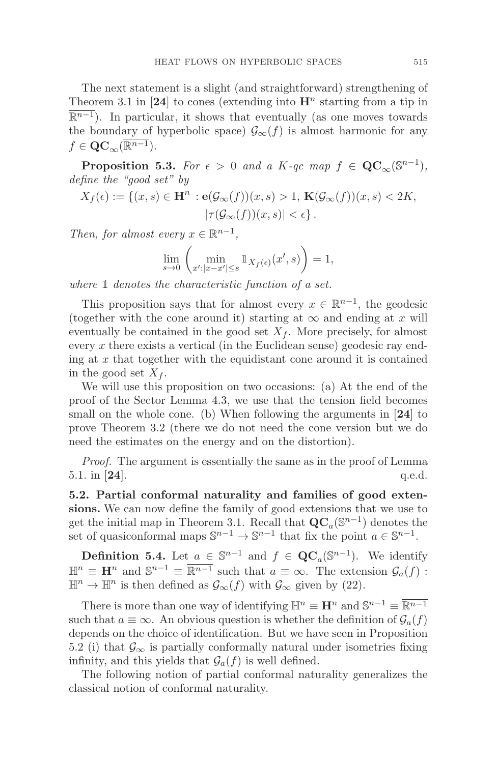The next statement is a slight (and straightforward) strengthening of Theorem 3.1 in [24] to cones (extending into  $\mathbf{H}^n$  starting from a tip in  $\overline{\mathbb{R}^{n-1}}$ ). In particular, it shows that eventually (as one moves towards the boundary of hyperbolic space)  $\mathcal{G}_{\infty}(f)$  is almost harmonic for any  $f \in \mathbf{QC}_{\infty}(\mathbb{R}^{n-1}).$ 

**Proposition 5.3.** For  $\epsilon > 0$  and a K-qc map  $f \in \mathbf{QC}_{\infty}(\mathbb{S}^{n-1}),$ define the "good set" by

$$
X_f(\epsilon) := \{ (x, s) \in \mathbf{H}^n : \mathbf{e}(\mathcal{G}_{\infty}(f))(x, s) > 1, \ \mathbf{K}(\mathcal{G}_{\infty}(f))(x, s) < 2K, |\tau(\mathcal{G}_{\infty}(f))(x, s)| < \epsilon \}.
$$

Then, for almost every  $x \in \mathbb{R}^{n-1}$ ,

$$
\lim_{s \to 0} \left( \min_{x': |x - x'| \le s} \mathbb{1}_{X_f(\epsilon)}(x', s) \right) = 1,
$$

where  $\mathbbm{1}$  denotes the characteristic function of a set.

This proposition says that for almost every  $x \in \mathbb{R}^{n-1}$ , the geodesic (together with the cone around it) starting at  $\infty$  and ending at x will eventually be contained in the good set  $X_f$ . More precisely, for almost every x there exists a vertical (in the Euclidean sense) geodesic ray ending at  $x$  that together with the equidistant cone around it is contained in the good set  $X_f$ .

We will use this proposition on two occasions: (a) At the end of the proof of the Sector Lemma 4.3, we use that the tension field becomes small on the whole cone. (b) When following the arguments in [**24**] to prove Theorem 3.2 (there we do not need the cone version but we do need the estimates on the energy and on the distortion).

Proof. The argument is essentially the same as in the proof of Lemma 5.1. in [**24**]. q.e.d.

**5.2. Partial conformal naturality and families of good extensions.** We can now define the family of good extensions that we use to get the initial map in Theorem 3.1. Recall that  $\mathbf{QC}_a(\mathbb{S}^{n-1})$  denotes the set of quasiconformal maps  $\mathbb{S}^{n-1} \to \mathbb{S}^{n-1}$  that fix the point  $a \in \mathbb{S}^{n-1}$ .

**Definition 5.4.** Let  $a \in \mathbb{S}^{n-1}$  and  $f \in \mathbf{QC}_a(\mathbb{S}^{n-1})$ . We identify  $\mathbb{H}^n \equiv \mathbf{H}^n$  and  $\mathbb{S}^{n-1} \equiv \overline{\mathbb{R}^{n-1}}$  such that  $a \equiv \infty$ . The extension  $\mathcal{G}_a(f)$ :  $\mathbb{H}^n \to \mathbb{H}^n$  is then defined as  $\mathcal{G}_{\infty}(f)$  with  $\mathcal{G}_{\infty}$  given by (22).

There is more than one way of identifying  $\mathbb{H}^n \equiv \mathbf{H}^n$  and  $\mathbb{S}^{n-1} \equiv \overline{\mathbb{R}^{n-1}}$ such that  $a \equiv \infty$ . An obvious question is whether the definition of  $\mathcal{G}_a(f)$ depends on the choice of identification. But we have seen in Proposition 5.2 (i) that  $\mathcal{G}_{\infty}$  is partially conformally natural under isometries fixing infinity, and this yields that  $\mathcal{G}_a(f)$  is well defined.

The following notion of partial conformal naturality generalizes the classical notion of conformal naturality.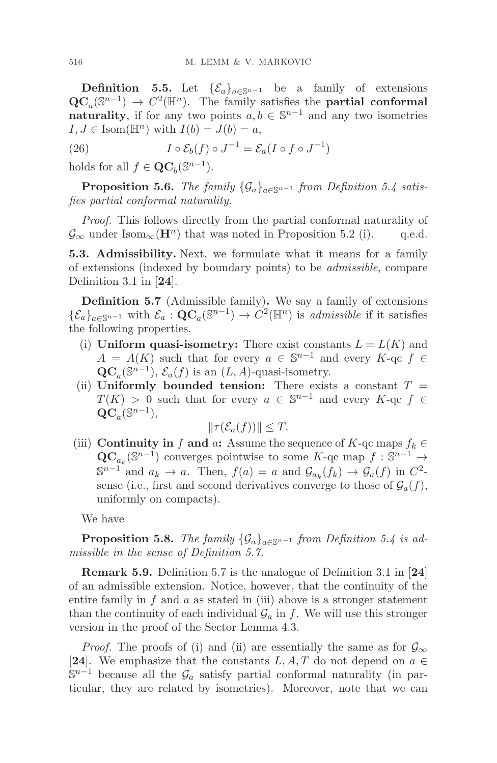**Definition 5.5.** Let  $\{\mathcal{E}_a\}_{a \in \mathbb{S}^{n-1}}$  be a family of extensions  $\mathbf{QC}_a(\mathbb{S}^{n-1}) \to C^2(\mathbb{H}^n)$ . The family satisfies the **partial conformal naturality**, if for any two points  $a, b \in \mathbb{S}^{n-1}$  and any two isometries  $I, J \in \text{Isom}(\mathbb{H}^n)$  with  $I(b) = J(b) = a$ ,

(26) 
$$
I \circ \mathcal{E}_b(f) \circ J^{-1} = \mathcal{E}_a(I \circ f \circ J^{-1})
$$

holds for all  $f \in \mathbf{QC}_b(\mathbb{S}^{n-1})$ .

**Proposition 5.6.** The family  $\{\mathcal{G}_a\}_{a \in \mathbb{S}^{n-1}}$  from Definition 5.4 satisfies partial conformal naturality.

Proof. This follows directly from the partial conformal naturality of  $\mathcal{G}_{\infty}$  under Isom<sub> $\infty$ </sub>( $\mathbf{H}^{n}$ ) that was noted in Proposition 5.2 (i). q.e.d.

**5.3. Admissibility.** Next, we formulate what it means for a family of extensions (indexed by boundary points) to be admissible, compare Definition 3.1 in [**24**].

**Definition 5.7** (Admissible family)**.** We say a family of extensions  ${\{\mathcal{E}_a\}}_{a \in \mathbb{S}^{n-1}}$  with  $\mathcal{E}_a : \mathbf{QC}_a(\mathbb{S}^{n-1}) \to C^2(\mathbb{H}^n)$  is *admissible* if it satisfies the following properties.

- (i) **Uniform quasi-isometry:** There exist constants  $L = L(K)$  and  $A = A(K)$  such that for every  $a \in \mathbb{S}^{n-1}$  and every  $K$ -qc  $f \in$  ${\bf QC}_a(\mathbb{S}^{n-1}), \mathcal{E}_a(f)$  is an  $(L, A)$ -quasi-isometry.
- (ii) **Uniformly bounded tension:** There exists a constant  $T =$  $T(K) > 0$  such that for every  $a \in \mathbb{S}^{n-1}$  and every  $K$ -qc  $f \in$  $\mathbf{QC}_a(\mathbb{S}^{n-1}),$

$$
\|\tau(\mathcal{E}_a(f))\| \leq T.
$$

(iii) **Continuity in** f **and** a: Assume the sequence of K-qc maps  $f_k \in$  $\mathbf{QC}_{a_k}(\mathbb{S}^{n-1})$  converges pointwise to some K-qc map  $f : \mathbb{S}^{n-1} \to$  $\mathbb{S}^{n-1}$  and  $a_k \to a$ . Then,  $f(a) = a$  and  $\mathcal{G}_{a_k}(f_k) \to \mathcal{G}_{a}(f)$  in  $C^2$ sense (i.e., first and second derivatives converge to those of  $\mathcal{G}_a(f)$ , uniformly on compacts).

We have

**Proposition 5.8.** The family  $\{\mathcal{G}_a\}_{a \in \mathbb{S}^{n-1}}$  from Definition 5.4 is admissible in the sense of Definition 5.7.

**Remark 5.9.** Definition 5.7 is the analogue of Definition 3.1 in [**24**] of an admissible extension. Notice, however, that the continuity of the entire family in  $f$  and  $a$  as stated in (iii) above is a stronger statement than the continuity of each individual  $\mathcal{G}_a$  in f. We will use this stronger version in the proof of the Sector Lemma 4.3.

*Proof.* The proofs of (i) and (ii) are essentially the same as for  $\mathcal{G}_{\infty}$ [24]. We emphasize that the constants  $L, A, T$  do not depend on  $a \in$  $\mathbb{S}^{n-1}$  because all the  $\mathcal{G}_a$  satisfy partial conformal naturality (in particular, they are related by isometries). Moreover, note that we can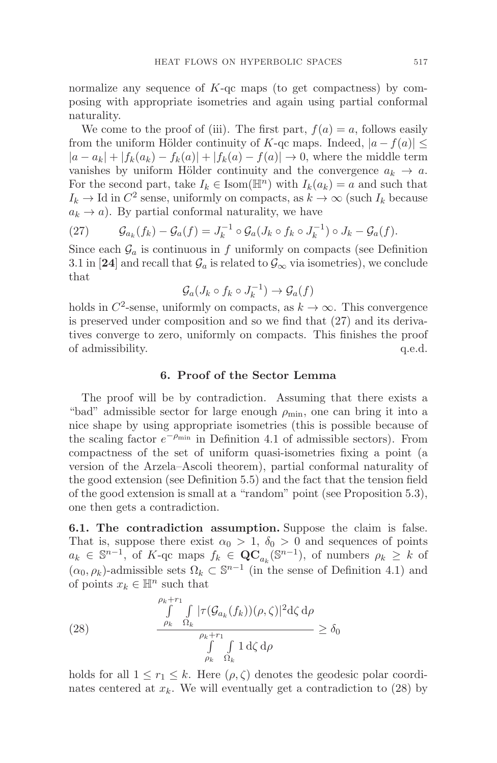normalize any sequence of  $K$ -qc maps (to get compactness) by composing with appropriate isometries and again using partial conformal naturality.

We come to the proof of (iii). The first part,  $f(a) = a$ , follows easily from the uniform Hölder continuity of K-qc maps. Indeed,  $|a - f(a)| \leq$  $|a - a_k| + |f_k(a_k) - f_k(a)| + |f_k(a) - f(a)| \rightarrow 0$ , where the middle term vanishes by uniform Hölder continuity and the convergence  $a_k \to a$ . For the second part, take  $I_k \in \text{Isom}(\mathbb{H}^n)$  with  $I_k(a_k) = a$  and such that  $I_k \to \text{Id}$  in  $C^2$  sense, uniformly on compacts, as  $k \to \infty$  (such  $I_k$  because  $a_k \rightarrow a$ ). By partial conformal naturality, we have

(27) 
$$
\mathcal{G}_{a_k}(f_k) - \mathcal{G}_a(f) = J_k^{-1} \circ \mathcal{G}_a(J_k \circ f_k \circ J_k^{-1}) \circ J_k - \mathcal{G}_a(f).
$$

Since each  $\mathcal{G}_a$  is continuous in f uniformly on compacts (see Definition 3.1 in [24] and recall that  $\mathcal{G}_a$  is related to  $\mathcal{G}_{\infty}$  via isometries), we conclude that

$$
\mathcal{G}_a(J_k \circ f_k \circ J_k^{-1}) \to \mathcal{G}_a(f)
$$

holds in  $C^2$ -sense, uniformly on compacts, as  $k \to \infty$ . This convergence is preserved under composition and so we find that (27) and its derivatives converge to zero, uniformly on compacts. This finishes the proof of admissibility.  $q.e.d.$ 

# **6. Proof of the Sector Lemma**

The proof will be by contradiction. Assuming that there exists a "bad" admissible sector for large enough  $\rho_{\min}$ , one can bring it into a nice shape by using appropriate isometries (this is possible because of the scaling factor  $e^{-\rho_{\min}}$  in Definition 4.1 of admissible sectors). From compactness of the set of uniform quasi-isometries fixing a point (a version of the Arzela–Ascoli theorem), partial conformal naturality of the good extension (see Definition 5.5) and the fact that the tension field of the good extension is small at a "random" point (see Proposition 5.3), one then gets a contradiction.

**6.1. The contradiction assumption.** Suppose the claim is false. That is, suppose there exist  $\alpha_0 > 1$ ,  $\delta_0 > 0$  and sequences of points  $a_k \in \mathbb{S}^{n-1}$ , of K-qc maps  $f_k \in \mathbf{QC}_{a_k}(\mathbb{S}^{n-1})$ , of numbers  $\rho_k \geq k$  of  $(\alpha_0, \rho_k)$ -admissible sets  $\Omega_k \subset \mathbb{S}^{n-1}$  (in the sense of Definition 4.1) and of points  $x_k \in \mathbb{H}^n$  such that

(28) 
$$
\frac{\int_{\rho_k + r_1}^{\rho_k + r_1} \int_{\rho_k} |\tau(\mathcal{G}_{a_k}(f_k))(\rho, \zeta)|^2 d\zeta d\rho}{\int_{\rho_k + r_1}^{\rho_k + r_1} \int_{\Omega_k} 1 d\zeta d\rho} \ge \delta_0
$$

holds for all  $1 \leq r_1 \leq k$ . Here  $(\rho, \zeta)$  denotes the geodesic polar coordinates centered at  $x_k$ . We will eventually get a contradiction to (28) by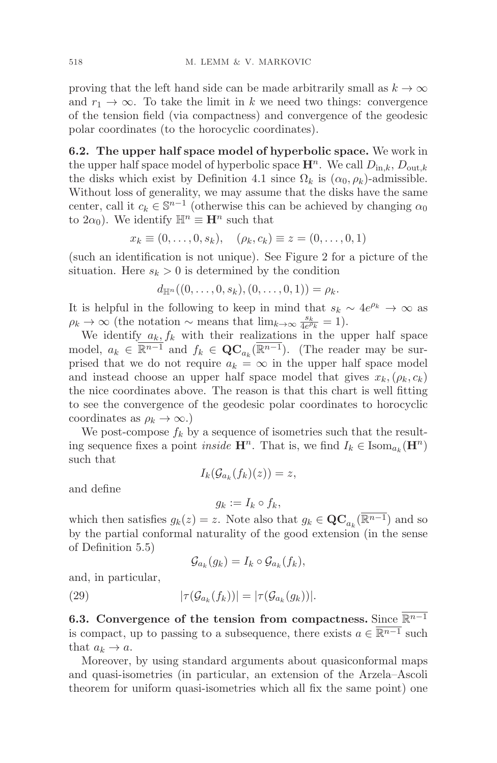proving that the left hand side can be made arbitrarily small as  $k \to \infty$ and  $r_1 \rightarrow \infty$ . To take the limit in k we need two things: convergence of the tension field (via compactness) and convergence of the geodesic polar coordinates (to the horocyclic coordinates).

**6.2. The upper half space model of hyperbolic space.** We work in the upper half space model of hyperbolic space  $\mathbf{H}^n$ . We call  $D_{\text{in},k}$ ,  $D_{\text{out},k}$ the disks which exist by Definition 4.1 since  $\Omega_k$  is  $(\alpha_0, \rho_k)$ -admissible. Without loss of generality, we may assume that the disks have the same center, call it  $c_k \in \mathbb{S}^{n-1}$  (otherwise this can be achieved by changing  $\alpha_0$ to  $2\alpha_0$ ). We identify  $\mathbb{H}^n \equiv \mathbf{H}^n$  such that

$$
x_k \equiv (0, ..., 0, s_k), \quad (\rho_k, c_k) \equiv z = (0, ..., 0, 1)
$$

(such an identification is not unique). See Figure 2 for a picture of the situation. Here  $s_k > 0$  is determined by the condition

 $d_{\mathbb{H}^n}((0,\ldots,0,s_k),(0,\ldots,0,1))=\rho_k.$ 

It is helpful in the following to keep in mind that  $s_k \sim 4e^{\rho_k} \to \infty$  as  $\rho_k \to \infty$  (the notation ~ means that  $\lim_{k \to \infty} \frac{s_k}{4e^{\rho_k}} = 1$ ).

We identify  $a_k, f_k$  with their realizations in the upper half space model,  $a_k \in \overline{\mathbb{R}^{n-1}}$  and  $f_k \in \mathbf{QC}_{a_k}(\overline{\mathbb{R}^{n-1}})$ . (The reader may be surprised that we do not require  $a_k = \infty$  in the upper half space model and instead choose an upper half space model that gives  $x_k,(\rho_k,c_k)$ the nice coordinates above. The reason is that this chart is well fitting to see the convergence of the geodesic polar coordinates to horocyclic coordinates as  $\rho_k \to \infty$ .)

We post-compose  $f_k$  by a sequence of isometries such that the resulting sequence fixes a point *inside*  $\mathbf{H}^n$ . That is, we find  $I_k \in \text{Isom}_{a_k}(\mathbf{H}^n)$ such that

$$
I_k(\mathcal{G}_{a_k}(f_k)(z))=z,
$$

and define

$$
g_k := I_k \circ f_k,
$$

which then satisfies  $g_k(z) = z$ . Note also that  $g_k \in \mathbf{QC}_{a_k}(\overline{\mathbb{R}^{n-1}})$  and so by the partial conformal naturality of the good extension (in the sense of Definition 5.5)

$$
\mathcal{G}_{a_k}(g_k) = I_k \circ \mathcal{G}_{a_k}(f_k),
$$

and, in particular,

(29)  $|\tau(\mathcal{G}_{a_k}(f_k))| = |\tau(\mathcal{G}_{a_k}(g_k))|$ .

**6.3.** Convergence of the tension from compactness. Since  $\overline{\mathbb{R}^{n-1}}$ is compact, up to passing to a subsequence, there exists  $a \in \overline{\mathbb{R}^{n-1}}$  such that  $a_k \to a$ .

Moreover, by using standard arguments about quasiconformal maps and quasi-isometries (in particular, an extension of the Arzela–Ascoli theorem for uniform quasi-isometries which all fix the same point) one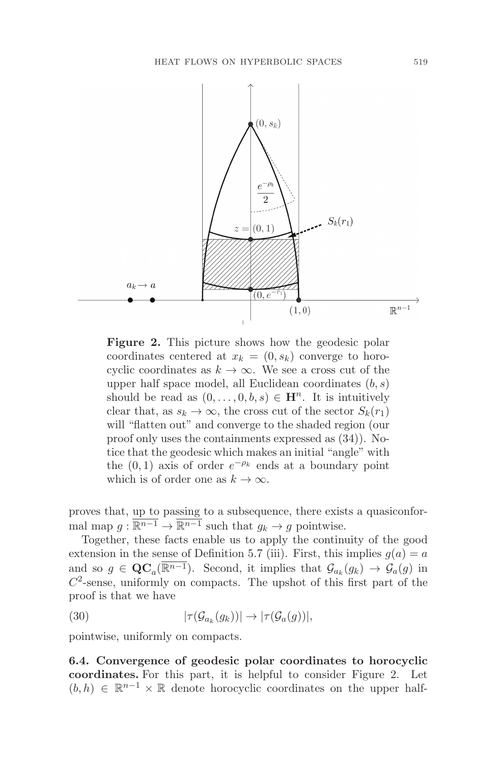

**Figure 2.** This picture shows how the geodesic polar coordinates centered at  $x_k = (0, s_k)$  converge to horocyclic coordinates as  $k \to \infty$ . We see a cross cut of the upper half space model, all Euclidean coordinates  $(b, s)$ should be read as  $(0,\ldots,0,b,s) \in \mathbb{H}^n$ . It is intuitively clear that, as  $s_k \to \infty$ , the cross cut of the sector  $S_k(r_1)$ will "flatten out" and converge to the shaded region (our proof only uses the containments expressed as (34)). Notice that the geodesic which makes an initial "angle" with the  $(0, 1)$  axis of order  $e^{-\rho_k}$  ends at a boundary point which is of order one as  $k \to \infty$ .

proves that, up to passing to a subsequence, there exists a quasiconformal map  $g : \overline{\mathbb{R}^{n-1}} \to \overline{\mathbb{R}^{n-1}}$  such that  $g_k \to g$  pointwise.

Together, these facts enable us to apply the continuity of the good extension in the sense of Definition 5.7 (iii). First, this implies  $g(a) = a$ and so  $g \in \mathbf{QC}_a(\mathbb{R}^{n-1})$ . Second, it implies that  $\mathcal{G}_{a_k}(g_k) \to \mathcal{G}_a(g)$  in  $C<sup>2</sup>$ -sense, uniformly on compacts. The upshot of this first part of the proof is that we have

(30) 
$$
|\tau(\mathcal{G}_{a_k}(g_k))| \to |\tau(\mathcal{G}_{a}(g))|,
$$

pointwise, uniformly on compacts.

**6.4. Convergence of geodesic polar coordinates to horocyclic coordinates.** For this part, it is helpful to consider Figure 2. Let  $(b, h) \in \mathbb{R}^{n-1} \times \mathbb{R}$  denote horocyclic coordinates on the upper half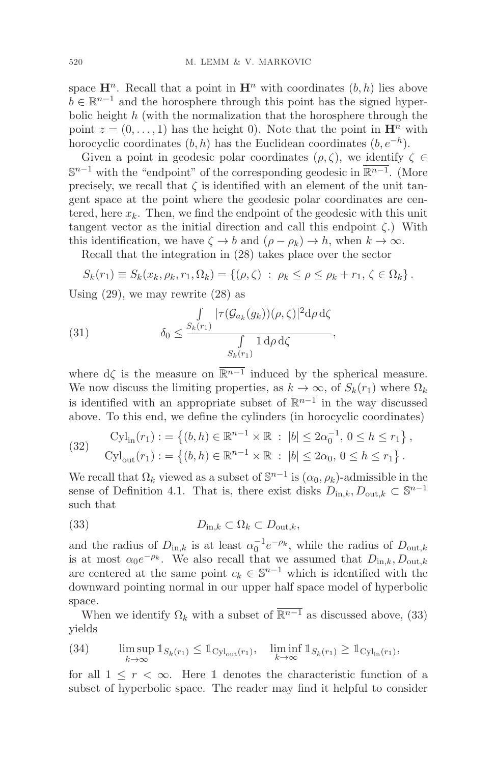space  $\mathbf{H}^n$ . Recall that a point in  $\mathbf{H}^n$  with coordinates  $(b, h)$  lies above  $b \in \mathbb{R}^{n-1}$  and the horosphere through this point has the signed hyperbolic height  $h$  (with the normalization that the horosphere through the point  $z = (0, \ldots, 1)$  has the height 0). Note that the point in  $\mathbf{H}^n$  with horocyclic coordinates  $(b, h)$  has the Euclidean coordinates  $(b, e^{-h})$ .

Given a point in geodesic polar coordinates  $(\rho, \zeta)$ , we identify  $\zeta \in$  $\mathbb{S}^{n-1}$  with the "endpoint" of the corresponding geodesic in  $\mathbb{R}^{n-1}$ . (More precisely, we recall that  $\zeta$  is identified with an element of the unit tangent space at the point where the geodesic polar coordinates are centered, here  $x_k$ . Then, we find the endpoint of the geodesic with this unit tangent vector as the initial direction and call this endpoint  $\zeta$ .) With this identification, we have  $\zeta \to b$  and  $(\rho - \rho_k) \to h$ , when  $k \to \infty$ .

Recall that the integration in (28) takes place over the sector

$$
S_k(r_1) \equiv S_k(x_k, \rho_k, r_1, \Omega_k) = \{(\rho, \zeta) : \rho_k \leq \rho \leq \rho_k + r_1, \zeta \in \Omega_k\}.
$$

Using  $(29)$ , we may rewrite  $(28)$  as

(31) 
$$
\delta_0 \leq \frac{\int_{S_k(r_1)} |\tau(\mathcal{G}_{a_k}(g_k))(\rho,\zeta)|^2 d\rho d\zeta}{\int_{S_k(r_1)} 1 d\rho d\zeta},
$$

where  $d\zeta$  is the measure on  $\overline{\mathbb{R}^{n-1}}$  induced by the spherical measure. We now discuss the limiting properties, as  $k \to \infty$ , of  $S_k(r_1)$  where  $\Omega_k$ is identified with an appropriate subset of  $\mathbb{R}^{n-1}$  in the way discussed above. To this end, we define the cylinders (in horocyclic coordinates)

(32) 
$$
\text{Cyl}_{\text{in}}(r_1) := \left\{ (b, h) \in \mathbb{R}^{n-1} \times \mathbb{R} : |b| \le 2\alpha_0^{-1}, 0 \le h \le r_1 \right\},
$$

$$
\text{Cyl}_{\text{out}}(r_1) := \left\{ (b, h) \in \mathbb{R}^{n-1} \times \mathbb{R} : |b| \le 2\alpha_0, 0 \le h \le r_1 \right\}.
$$

We recall that  $\Omega_k$  viewed as a subset of  $\mathbb{S}^{n-1}$  is  $(\alpha_0, \rho_k)$ -admissible in the sense of Definition 4.1. That is, there exist disks  $D_{\text{in},k}, D_{\text{out},k} \subset \mathbb{S}^{n-1}$ such that

(33) 
$$
D_{\text{in},k} \subset \Omega_k \subset D_{\text{out},k},
$$

and the radius of  $D_{\text{in},k}$  is at least  $\alpha_0^{-1}e^{-\rho_k}$ , while the radius of  $D_{\text{out},k}$ is at most  $\alpha_0 e^{-\rho_k}$ . We also recall that we assumed that  $D_{\text{in},k}, D_{\text{out},k}$ are centered at the same point  $c_k \in \mathbb{S}^{n-1}$  which is identified with the downward pointing normal in our upper half space model of hyperbolic space.

When we identify  $\Omega_k$  with a subset of  $\overline{\mathbb{R}^{n-1}}$  as discussed above, (33) yields

(34) 
$$
\limsup_{k \to \infty} \mathbb{1}_{S_k(r_1)} \leq \mathbb{1}_{\mathrm{Cyl}_{\mathrm{out}}(r_1)}, \quad \liminf_{k \to \infty} \mathbb{1}_{S_k(r_1)} \geq \mathbb{1}_{\mathrm{Cyl}_{\mathrm{in}}(r_1)},
$$

for all  $1 \leq r < \infty$ . Here 1 denotes the characteristic function of a subset of hyperbolic space. The reader may find it helpful to consider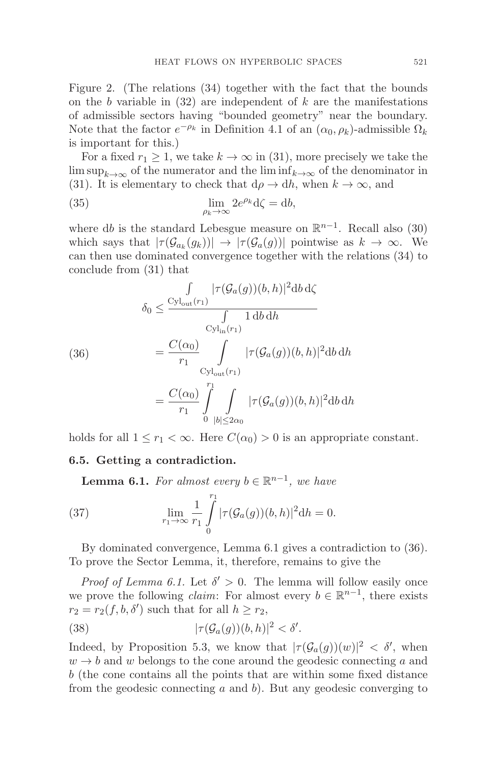Figure 2. (The relations (34) together with the fact that the bounds on the b variable in  $(32)$  are independent of k are the manifestations of admissible sectors having "bounded geometry" near the boundary. Note that the factor  $e^{-\rho_k}$  in Definition 4.1 of an  $(\alpha_0, \rho_k)$ -admissible  $\Omega_k$ is important for this.)

For a fixed  $r_1 \geq 1$ , we take  $k \to \infty$  in (31), more precisely we take the lim sup<sub>k→∞</sub> of the numerator and the lim inf<sub>k→∞</sub> of the denominator in (31). It is elementary to check that  $d\rho \to dh$ , when  $k \to \infty$ , and

(35) 
$$
\lim_{\rho_k \to \infty} 2e^{\rho_k} d\zeta = db,
$$

where db is the standard Lebesgue measure on  $\mathbb{R}^{n-1}$ . Recall also (30) which says that  $|\tau(\mathcal{G}_{a_k}(g_k))| \to |\tau(\mathcal{G}_{a}(g))|$  pointwise as  $k \to \infty$ . We can then use dominated convergence together with the relations (34) to conclude from (31) that

(36)  
\n
$$
\begin{aligned}\n\int_{\delta_0} &\leq \frac{C_{\mathcal{Y}_{\text{out}}(r_1)}}{\int_{\mathcal{Y}_{\text{in}}(r_1)}} |\tau(\mathcal{G}_a(g))(b,h)|^2 \, db \, d\zeta \\
&= \frac{C(\alpha_0)}{r_1} \int_{\mathcal{Y}_{\text{out}}(r_1)} |\tau(\mathcal{G}_a(g))(b,h)|^2 \, db \, dh \\
&= \frac{C(\alpha_0)}{r_1} \int_{0}^{r_1} \int_{|b| \leq 2\alpha_0} |\tau(\mathcal{G}_a(g))(b,h)|^2 \, db \, dh\n\end{aligned}
$$

holds for all  $1 \leq r_1 < \infty$ . Here  $C(\alpha_0) > 0$  is an appropriate constant.

#### **6.5. Getting a contradiction.**

**Lemma 6.1.** For almost every  $b \in \mathbb{R}^{n-1}$ , we have

(37) 
$$
\lim_{r_1 \to \infty} \frac{1}{r_1} \int_{0}^{r_1} |\tau(\mathcal{G}_a(g))(b, h)|^2 dh = 0.
$$

By dominated convergence, Lemma 6.1 gives a contradiction to (36). To prove the Sector Lemma, it, therefore, remains to give the

*Proof of Lemma 6.1.* Let  $\delta' > 0$ . The lemma will follow easily once we prove the following *claim*: For almost every  $b \in \mathbb{R}^{n-1}$ , there exists  $r_2 = r_2(f, b, \delta')$  such that for all  $h \ge r_2$ ,

(38) 
$$
|\tau(\mathcal{G}_a(g))(b,h)|^2 < \delta'.
$$

Indeed, by Proposition 5.3, we know that  $|\tau(\mathcal{G}_a(g))(w)|^2 < \delta'$ , when  $w \rightarrow b$  and w belongs to the cone around the geodesic connecting a and b (the cone contains all the points that are within some fixed distance from the geodesic connecting  $a$  and  $b$ ). But any geodesic converging to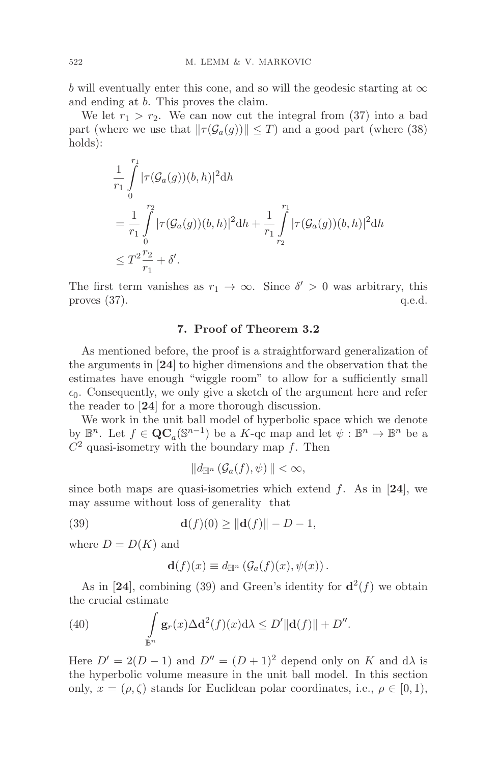b will eventually enter this cone, and so will the geodesic starting at  $\infty$ and ending at b. This proves the claim.

We let  $r_1 > r_2$ . We can now cut the integral from (37) into a bad part (where we use that  $\|\tau(\mathcal{G}_a(g))\| \leq T$ ) and a good part (where (38) holds):

$$
\frac{1}{r_1} \int_{0}^{r_1} |\tau(\mathcal{G}_a(g))(b, h)|^2 dh
$$
\n
$$
= \frac{1}{r_1} \int_{0}^{r_2} |\tau(\mathcal{G}_a(g))(b, h)|^2 dh + \frac{1}{r_1} \int_{r_2}^{r_1} |\tau(\mathcal{G}_a(g))(b, h)|^2 dh
$$
\n
$$
\leq T^2 \frac{r_2}{r_1} + \delta'.
$$

The first term vanishes as  $r_1 \to \infty$ . Since  $\delta' > 0$  was arbitrary, this proves (37). q.e.d. proves  $(37)$ .

# **7. Proof of Theorem 3.2**

As mentioned before, the proof is a straightforward generalization of the arguments in [**24**] to higher dimensions and the observation that the estimates have enough "wiggle room" to allow for a sufficiently small  $\epsilon_0$ . Consequently, we only give a sketch of the argument here and refer the reader to [**24**] for a more thorough discussion.

We work in the unit ball model of hyperbolic space which we denote by  $\mathbb{B}^n$ . Let  $f \in \mathbf{QC}_a(\mathbb{S}^{n-1})$  be a K-qc map and let  $\psi : \mathbb{B}^n \to \mathbb{B}^n$  be a  $C<sup>2</sup>$  quasi-isometry with the boundary map f. Then

$$
||d_{\mathbb{H}^n}(\mathcal{G}_a(f),\psi)|| < \infty,
$$

since both maps are quasi-isometries which extend  $f$ . As in [24], we may assume without loss of generality that

(39) **d**(f)(0)  $\geq ||{\bf d}(f)|| - D - 1$ ,

where  $D = D(K)$  and

$$
\mathbf{d}(f)(x) \equiv d_{\mathbb{H}^n} \left( \mathcal{G}_a(f)(x), \psi(x) \right).
$$

As in [24], combining (39) and Green's identity for  $\mathbf{d}^2(f)$  we obtain the crucial estimate

(40) 
$$
\int_{\mathbb{B}^n} \mathbf{g}_r(x) \Delta \mathbf{d}^2(f)(x) d\lambda \le D' \|\mathbf{d}(f)\| + D''.
$$

Here  $D' = 2(D - 1)$  and  $D'' = (D + 1)^2$  depend only on K and d $\lambda$  is the hyperbolic volume measure in the unit ball model. In this section only,  $x = (\rho, \zeta)$  stands for Euclidean polar coordinates, i.e.,  $\rho \in [0, 1)$ ,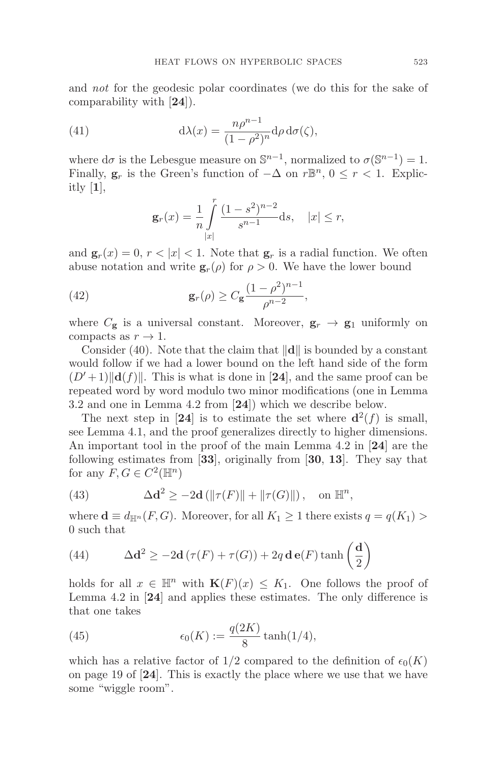and *not* for the geodesic polar coordinates (we do this for the sake of comparability with [**24**]).

(41) 
$$
d\lambda(x) = \frac{n\rho^{n-1}}{(1-\rho^2)^n} d\rho d\sigma(\zeta),
$$

where d $\sigma$  is the Lebesgue measure on  $\mathbb{S}^{n-1}$ , normalized to  $\sigma(\mathbb{S}^{n-1}) = 1$ . Finally,  $\mathbf{g}_r$  is the Green's function of  $-\Delta$  on  $r\mathbb{B}^n$ ,  $0 \leq r < 1$ . Explicitly [**1**],

$$
\mathbf{g}_r(x) = \frac{1}{n} \int_{|x|}^r \frac{(1-s^2)^{n-2}}{s^{n-1}} \mathrm{d}s, \quad |x| \le r,
$$

and  $\mathbf{g}_r(x)=0, r<|x|<1$ . Note that  $\mathbf{g}_r$  is a radial function. We often abuse notation and write  $\mathbf{g}_r(\rho)$  for  $\rho > 0$ . We have the lower bound

(42) 
$$
\mathbf{g}_r(\rho) \ge C_{\mathbf{g}} \frac{(1-\rho^2)^{n-1}}{\rho^{n-2}},
$$

where  $C_{\mathbf{g}}$  is a universal constant. Moreover,  $\mathbf{g}_r \to \mathbf{g}_1$  uniformly on compacts as  $r \to 1$ .

Consider (40). Note that the claim that  $\|\mathbf{d}\|$  is bounded by a constant would follow if we had a lower bound on the left hand side of the form  $(D'+1)\|\mathbf{d}(f)\|$ . This is what is done in [24], and the same proof can be repeated word by word modulo two minor modifications (one in Lemma 3.2 and one in Lemma 4.2 from [**24**]) which we describe below.

The next step in [24] is to estimate the set where  $d^2(f)$  is small, see Lemma 4.1, and the proof generalizes directly to higher dimensions. An important tool in the proof of the main Lemma 4.2 in [**24**] are the following estimates from [**33**], originally from [**30**, **13**]. They say that for any  $F, G \in C^2(\mathbb{H}^n)$ 

(43) 
$$
\Delta \mathbf{d}^2 \ge -2\mathbf{d} \left( \|\tau(F)\| + \|\tau(G)\| \right), \text{ on } \mathbb{H}^n,
$$

where  $\mathbf{d} \equiv d_{\mathbb{H}^n}(F, G)$ . Moreover, for all  $K_1 \geq 1$  there exists  $q = q(K_1) >$ 0 such that

(44) 
$$
\Delta \mathbf{d}^2 \ge -2\mathbf{d} \left(\tau(F) + \tau(G)\right) + 2q \mathbf{d} \mathbf{e}(F) \tanh\left(\frac{\mathbf{d}}{2}\right)
$$

holds for all  $x \in \mathbb{H}^n$  with  $\mathbf{K}(F)(x) \leq K_1$ . One follows the proof of Lemma 4.2 in [**24**] and applies these estimates. The only difference is that one takes

(45) 
$$
\epsilon_0(K) := \frac{q(2K)}{8} \tanh(1/4),
$$

which has a relative factor of  $1/2$  compared to the definition of  $\epsilon_0(K)$ on page 19 of [**24**]. This is exactly the place where we use that we have some "wiggle room".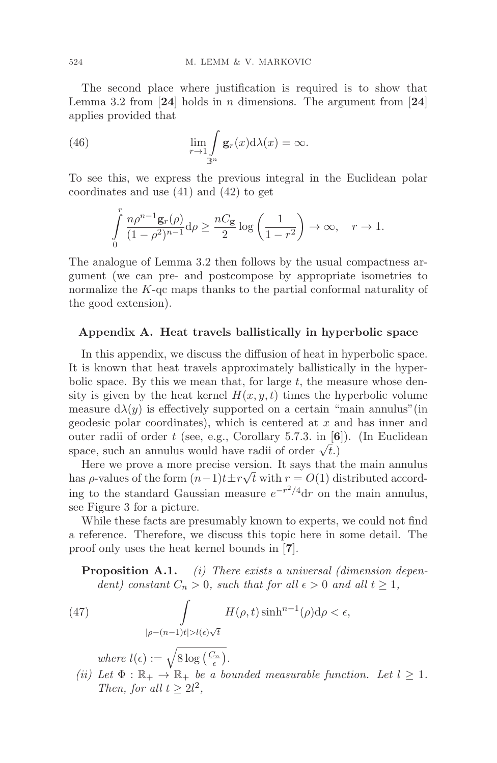The second place where justification is required is to show that Lemma 3.2 from [**24**] holds in n dimensions. The argument from [**24**] applies provided that

(46) 
$$
\lim_{r \to 1} \int_{\mathbb{B}^n} \mathbf{g}_r(x) d\lambda(x) = \infty.
$$

To see this, we express the previous integral in the Euclidean polar coordinates and use (41) and (42) to get

$$
\int_{0}^{r} \frac{n\rho^{n-1}\mathbf{g}_r(\rho)}{(1-\rho^2)^{n-1}}\mathrm{d}\rho \ge \frac{nC_{\mathbf{g}}}{2}\log\left(\frac{1}{1-r^2}\right) \to \infty, \quad r \to 1.
$$

The analogue of Lemma 3.2 then follows by the usual compactness argument (we can pre- and postcompose by appropriate isometries to normalize the K-qc maps thanks to the partial conformal naturality of the good extension).

### **Appendix A. Heat travels ballistically in hyperbolic space**

In this appendix, we discuss the diffusion of heat in hyperbolic space. It is known that heat travels approximately ballistically in the hyperbolic space. By this we mean that, for large  $t$ , the measure whose density is given by the heat kernel  $H(x, y, t)$  times the hyperbolic volume measure  $d\lambda(y)$  is effectively supported on a certain "main annulus" (in geodesic polar coordinates), which is centered at  $x$  and has inner and outer radii of order t (see, e.g., Corollary 5.7.3. in [**6**]). (In Euclidean space, such an annulus would have radii of order  $\sqrt{t}$ .)

Here we prove a more precise version. It says that the main annulus has  $\rho$ -values of the form  $(n-1)t \pm r \sqrt{t}$  with  $r = O(1)$  distributed according to the standard Gaussian measure  $e^{-r^2/4}dr$  on the main annulus, see Figure 3 for a picture.

While these facts are presumably known to experts, we could not find a reference. Therefore, we discuss this topic here in some detail. The proof only uses the heat kernel bounds in [**7**].

**Proposition A.1.** (i) There exists a universal (dimension dependent) constant  $C_n > 0$ , such that for all  $\epsilon > 0$  and all  $t \geq 1$ ,

(47) 
$$
\int_{|\rho - (n-1)t| > l(\epsilon)\sqrt{t}} H(\rho, t) \sinh^{n-1}(\rho) d\rho < \epsilon,
$$

where  $l(\epsilon) := \sqrt{8 \log\left(\frac{C_n}{\epsilon}\right)}$ .

(ii) Let  $\Phi : \mathbb{R}_+ \to \mathbb{R}_+$  be a bounded measurable function. Let  $l \geq 1$ . Then, for all  $t \geq 2l^2$ ,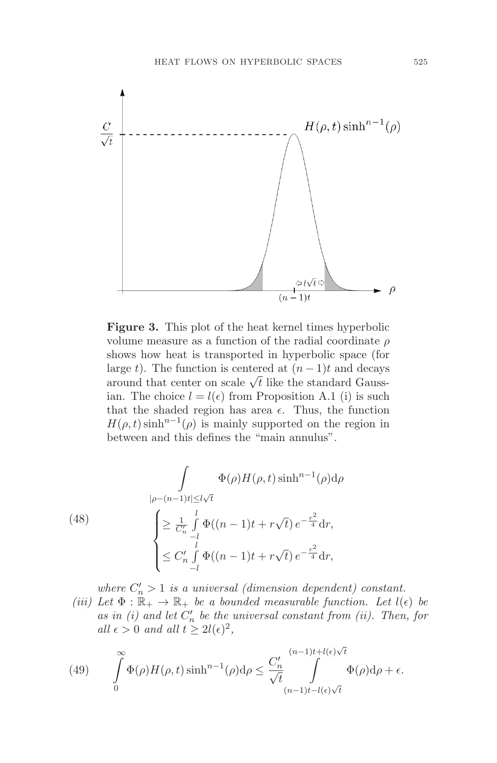

**Figure 3.** This plot of the heat kernel times hyperbolic volume measure as a function of the radial coordinate  $\rho$ shows how heat is transported in hyperbolic space (for large t). The function is centered at  $(n-1)t$  and decays around that center on scale  $\sqrt{t}$  like the standard Gaussian. The choice  $l = l(\epsilon)$  from Proposition A.1 (i) is such that the shaded region has area  $\epsilon$ . Thus, the function  $H(\rho, t) \sinh^{n-1}(\rho)$  is mainly supported on the region in between and this defines the "main annulus".

(48)  

$$
\int_{|\rho-(n-1)t|\leq l\sqrt{t}} \Phi(\rho)H(\rho,t)\sinh^{n-1}(\rho)d\rho
$$

$$
\begin{cases}\n\geq \frac{1}{C'_n} \int_{-l}^{l} \Phi((n-1)t + r\sqrt{t}) e^{-\frac{r^2}{4}} dr, \\
\leq C'_n \int_{-l}^{l} \Phi((n-1)t + r\sqrt{t}) e^{-\frac{r^2}{4}} dr,\n\end{cases}
$$

where  $C'_n > 1$  is a universal (dimension dependent) constant.

(iii) Let  $\Phi : \mathbb{R}_+ \to \mathbb{R}_+$  be a bounded measurable function. Let  $l(\epsilon)$  be as in (i) and let  $C'_n$  be the universal constant from (ii). Then, for all  $\epsilon > 0$  and all  $t \geq 2l(\epsilon)^2$ ,

(49) 
$$
\int_{0}^{\infty} \Phi(\rho) H(\rho, t) \sinh^{n-1}(\rho) d\rho \leq \frac{C'_n}{\sqrt{t}} \int_{(n-1)t - l(\epsilon)\sqrt{t}}^{(n-1)t + l(\epsilon)\sqrt{t}} \Phi(\rho) d\rho + \epsilon.
$$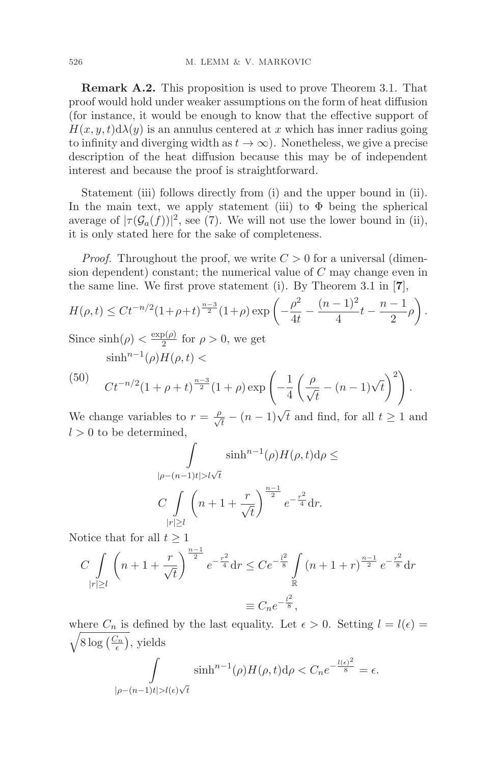**Remark A.2.** This proposition is used to prove Theorem 3.1. That proof would hold under weaker assumptions on the form of heat diffusion (for instance, it would be enough to know that the effective support of  $H(x, y, t) d\lambda(y)$  is an annulus centered at x which has inner radius going to infinity and diverging width as  $t \to \infty$ ). Nonetheless, we give a precise description of the heat diffusion because this may be of independent interest and because the proof is straightforward.

Statement (iii) follows directly from (i) and the upper bound in (ii). In the main text, we apply statement (iii) to  $\Phi$  being the spherical average of  $|\tau(\mathcal{G}_a(f))|^2$ , see (7). We will not use the lower bound in (ii), it is only stated here for the sake of completeness.

*Proof.* Throughout the proof, we write  $C > 0$  for a universal (dimension dependent) constant; the numerical value of  $C$  may change even in the same line. We first prove statement (i). By Theorem 3.1 in [**7**],

$$
H(\rho, t) \leq Ct^{-n/2} (1+\rho+t)^{\frac{n-3}{2}} (1+\rho) \exp\left(-\frac{\rho^2}{4t} - \frac{(n-1)^2}{4}t - \frac{n-1}{2}\rho\right).
$$

Since  $\sinh(\rho) < \frac{\exp(\rho)}{2}$  for  $\rho > 0$ , we get  $\sinh^{n-1}(\rho)H(\rho,t)<$ 

(50) 
$$
C t^{-n/2} (1 + \rho + t)^{\frac{n-3}{2}} (1 + \rho) \exp \left( -\frac{1}{4} \left( \frac{\rho}{\sqrt{t}} - (n-1) \sqrt{t} \right)^2 \right).
$$

We change variables to  $r = \frac{\rho}{\sqrt{t}} - (n-1)\sqrt{t}$  and find, for all  $t \ge 1$  and  $l > 0$  to be determined,

$$
\int \sinh^{n-1}(\rho)H(\rho, t)d\rho \le
$$
  

$$
|\rho - (n-1)t| > l\sqrt{t}
$$
  

$$
C \int_{|r| \ge l} \left(n + 1 + \frac{r}{\sqrt{t}}\right)^{\frac{n-1}{2}} e^{-\frac{r^2}{4}} dr.
$$

Notice that for all  $t \geq 1$ 

$$
C \int_{|r| \ge l} \left( n + 1 + \frac{r}{\sqrt{t}} \right)^{\frac{n-1}{2}} e^{-\frac{r^2}{4}} dr \le C e^{-\frac{l^2}{8}} \int_{\mathbb{R}} \left( n + 1 + r \right)^{\frac{n-1}{2}} e^{-\frac{r^2}{8}} dr
$$

$$
\equiv C_n e^{-\frac{l^2}{8}},
$$

where  $C_n$  is defined by the last equality. Let  $\epsilon > 0$ . Setting  $l = l(\epsilon) =$  $\sqrt{8 \log\left(\frac{C_n}{\epsilon}\right)}$ , yields

$$
\int\limits_{|\rho-(n-1)t|>l(\epsilon)\sqrt{t}}\sinh^{n-1}(\rho)H(\rho,t)\mathrm{d}\rho
$$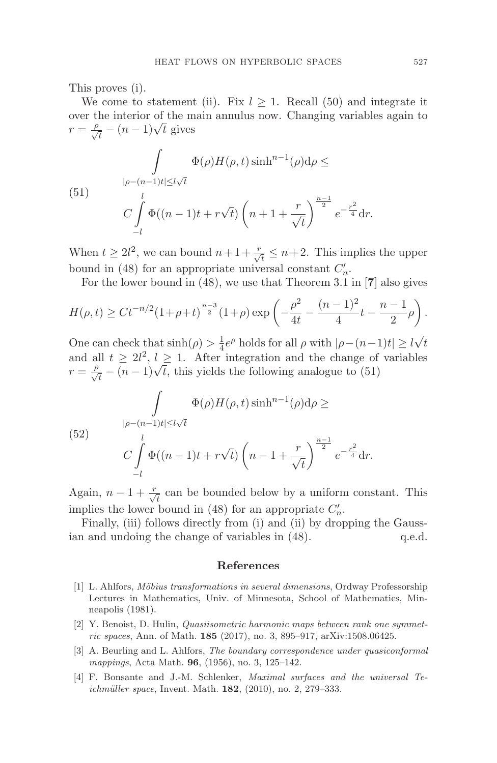This proves (i).

We come to statement (ii). Fix  $l \geq 1$ . Recall (50) and integrate it over the interior of the main annulus now. Changing variables again to  $r = \frac{\rho}{\sqrt{t}} - (n-1)\sqrt{t}$  gives

(51) 
$$
\int_{|\rho-(n-1)t|\le l\sqrt{t}} \Phi(\rho)H(\rho,t)\sinh^{n-1}(\rho)d\rho \le
$$

$$
C \int_{-l}^{l} \Phi((n-1)t + r\sqrt{t})\left(n+1+\frac{r}{\sqrt{t}}\right)^{\frac{n-1}{2}} e^{-\frac{r^2}{4}} dr.
$$

When  $t \geq 2l^2$ , we can bound  $n+1+\frac{r}{\sqrt{t}} \leq n+2$ . This implies the upper bound in (48) for an appropriate universal constant  $C'_n$ .

For the lower bound in (48), we use that Theorem 3.1 in [**7**] also gives

$$
H(\rho, t) \ge Ct^{-n/2} (1 + \rho + t)^{\frac{n-3}{2}} (1 + \rho) \exp\left(-\frac{\rho^2}{4t} - \frac{(n-1)^2}{4}t - \frac{n-1}{2}\rho\right).
$$

One can check that  $\sinh(\rho) > \frac{1}{4}e^{\rho}$  holds for all  $\rho$  with  $|\rho - (n-1)t| \ge l\sqrt{t}$ and all  $t \geq 2l^2, l \geq 1$ . After integration and the change of variables  $r = \frac{\rho}{\sqrt{t}} - (n-1)\sqrt{t}$ , this yields the following analogue to (51)

(52) 
$$
\int_{|\rho-(n-1)t|\le l\sqrt{t}} \Phi(\rho)H(\rho,t)\sinh^{n-1}(\rho)d\rho \ge
$$

$$
C\int_{-l}^{l} \Phi((n-1)t+r\sqrt{t})\left(n-1+\frac{r}{\sqrt{t}}\right)^{\frac{n-1}{2}}e^{-\frac{r^2}{4}}dr.
$$

Again,  $n-1+\frac{r}{\sqrt{t}}$  can be bounded below by a uniform constant. This implies the lower bound in (48) for an appropriate  $C'_n$ .

Finally, (iii) follows directly from (i) and (ii) by dropping the Gaussian and undoing the change of variables in (48).  $q.e.d.$ 

#### **References**

- [1] L. Ahlfors, Möbius transformations in several dimensions, Ordway Professorship Lectures in Mathematics, Univ. of Minnesota, School of Mathematics, Minneapolis (1981).
- [2] Y. Benoist, D. Hulin, Quasiisometric harmonic maps between rank one symmetric spaces, Ann. of Math. **185** (2017), no. 3, 895–917, arXiv:1508.06425.
- [3] A. Beurling and L. Ahlfors, The boundary correspondence under quasiconformal mappings, Acta Math. **96**, (1956), no. 3, 125–142.
- [4] F. Bonsante and J.-M. Schlenker, Maximal surfaces and the universal Teichmüller space, Invent. Math. **182**, (2010), no. 2, 279–333.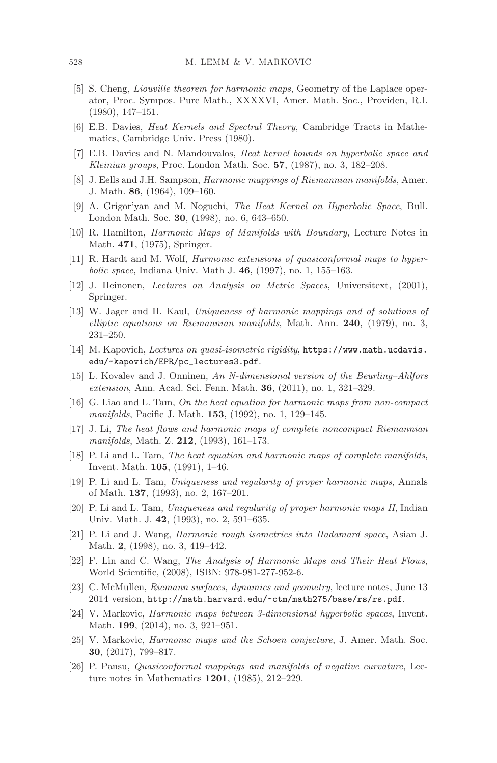- [5] S. Cheng, Liouville theorem for harmonic maps, Geometry of the Laplace operator, Proc. Sympos. Pure Math., XXXXVI, Amer. Math. Soc., Providen, R.I. (1980), 147–151.
- [6] E.B. Davies, Heat Kernels and Spectral Theory, Cambridge Tracts in Mathematics, Cambridge Univ. Press (1980).
- [7] E.B. Davies and N. Mandouvalos, Heat kernel bounds on hyperbolic space and Kleinian groups, Proc. London Math. Soc. **57**, (1987), no. 3, 182–208.
- [8] J. Eells and J.H. Sampson, Harmonic mappings of Riemannian manifolds, Amer. J. Math. **86**, (1964), 109–160.
- [9] A. Grigor'yan and M. Noguchi, The Heat Kernel on Hyperbolic Space, Bull. London Math. Soc. **30**, (1998), no. 6, 643–650.
- [10] R. Hamilton, Harmonic Maps of Manifolds with Boundary, Lecture Notes in Math. **471**, (1975), Springer.
- [11] R. Hardt and M. Wolf, Harmonic extensions of quasiconformal maps to hyperbolic space, Indiana Univ. Math J. **46**, (1997), no. 1, 155–163.
- [12] J. Heinonen, Lectures on Analysis on Metric Spaces, Universitext, (2001), Springer.
- [13] W. Jager and H. Kaul, Uniqueness of harmonic mappings and of solutions of elliptic equations on Riemannian manifolds, Math. Ann. **240**, (1979), no. 3, 231–250.
- [14] M. Kapovich, Lectures on quasi-isometric rigidity, https://www.math.ucdavis. edu/~kapovich/EPR/pc\_lectures3.pdf.
- [15] L. Kovalev and J. Onninen, An N-dimensional version of the Beurling–Ahlfors extension, Ann. Acad. Sci. Fenn. Math. **36**, (2011), no. 1, 321–329.
- [16] G. Liao and L. Tam, On the heat equation for harmonic maps from non-compact manifolds, Pacific J. Math. **153**, (1992), no. 1, 129–145.
- [17] J. Li, The heat flows and harmonic maps of complete noncompact Riemannian manifolds, Math. Z. **212**, (1993), 161–173.
- [18] P. Li and L. Tam, The heat equation and harmonic maps of complete manifolds, Invent. Math. **105**, (1991), 1–46.
- [19] P. Li and L. Tam, Uniqueness and regularity of proper harmonic maps, Annals of Math. **137**, (1993), no. 2, 167–201.
- [20] P. Li and L. Tam, Uniqueness and regularity of proper harmonic maps II, Indian Univ. Math. J. **42**, (1993), no. 2, 591–635.
- [21] P. Li and J. Wang, Harmonic rough isometries into Hadamard space, Asian J. Math. **2**, (1998), no. 3, 419–442.
- [22] F. Lin and C. Wang, The Analysis of Harmonic Maps and Their Heat Flows, World Scientific, (2008), ISBN: 978-981-277-952-6.
- [23] C. McMullen, Riemann surfaces, dynamics and geometry, lecture notes, June 13 2014 version, http://math.harvard.edu/~ctm/math275/base/rs/rs.pdf.
- [24] V. Markovic, Harmonic maps between 3-dimensional hyperbolic spaces, Invent. Math. **199**, (2014), no. 3, 921–951.
- [25] V. Markovic, Harmonic maps and the Schoen conjecture, J. Amer. Math. Soc. **30**, (2017), 799–817.
- [26] P. Pansu, Quasiconformal mappings and manifolds of negative curvature, Lecture notes in Mathematics **1201**, (1985), 212–229.